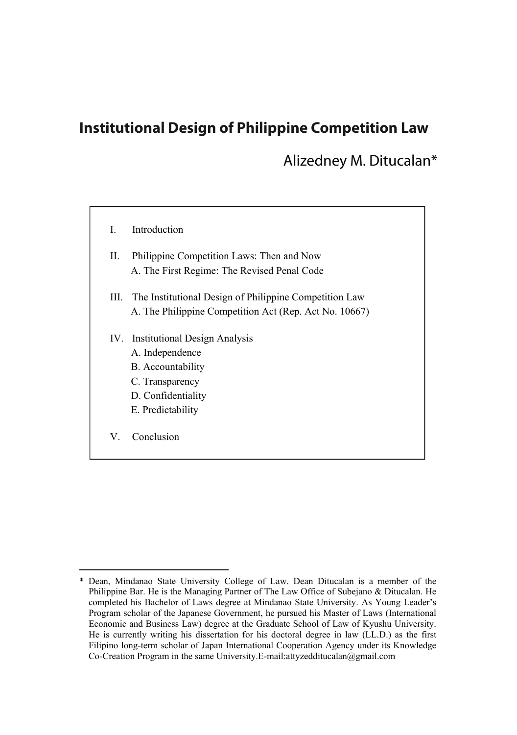# **Institutional Design of Philippine Competition Law**

Alizedney M. Ditucalan\*

| L   | Introduction                                                                                                                               |
|-----|--------------------------------------------------------------------------------------------------------------------------------------------|
| П.  | Philippine Competition Laws: Then and Now<br>A. The First Regime: The Revised Penal Code                                                   |
| Ш.  | The Institutional Design of Philippine Competition Law<br>A. The Philippine Competition Act (Rep. Act No. 10667)                           |
| IV. | <b>Institutional Design Analysis</b><br>A. Independence<br>B. Accountability<br>C. Transparency<br>D. Confidentiality<br>E. Predictability |
| V   | Conclusion                                                                                                                                 |

<sup>\*</sup> Dean, Mindanao State University College of Law. Dean Ditucalan is a member of the Philippine Bar. He is the Managing Partner of The Law Office of Subejano & Ditucalan. He completed his Bachelor of Laws degree at Mindanao State University. As Young Leader's Program scholar of the Japanese Government, he pursued his Master of Laws (International Economic and Business Law) degree at the Graduate School of Law of Kyushu University. He is currently writing his dissertation for his doctoral degree in law (LL.D.) as the first Filipino long-term scholar of Japan International Cooperation Agency under its Knowledge Co-Creation Program in the same University.E-mail:attyzedditucalan@gmail.com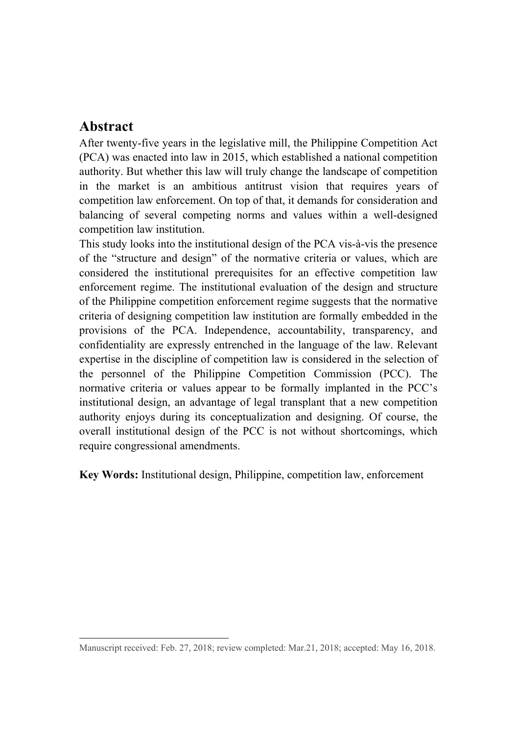# **Abstract**

 $\overline{a}$ 

After twenty-five years in the legislative mill, the Philippine Competition Act (PCA) was enacted into law in 2015, which established a national competition authority. But whether this law will truly change the landscape of competition in the market is an ambitious antitrust vision that requires years of competition law enforcement. On top of that, it demands for consideration and balancing of several competing norms and values within a well-designed competition law institution.

This study looks into the institutional design of the PCA vis-à-vis the presence of the "structure and design" of the normative criteria or values, which are considered the institutional prerequisites for an effective competition law enforcement regime. The institutional evaluation of the design and structure of the Philippine competition enforcement regime suggests that the normative criteria of designing competition law institution are formally embedded in the provisions of the PCA. Independence, accountability, transparency, and confidentiality are expressly entrenched in the language of the law. Relevant expertise in the discipline of competition law is considered in the selection of the personnel of the Philippine Competition Commission (PCC). The normative criteria or values appear to be formally implanted in the PCC's institutional design, an advantage of legal transplant that a new competition authority enjoys during its conceptualization and designing. Of course, the overall institutional design of the PCC is not without shortcomings, which require congressional amendments.

**Key Words:** Institutional design, Philippine, competition law, enforcement

Manuscript received: Feb. 27, 2018; review completed: Mar.21, 2018; accepted: May 16, 2018.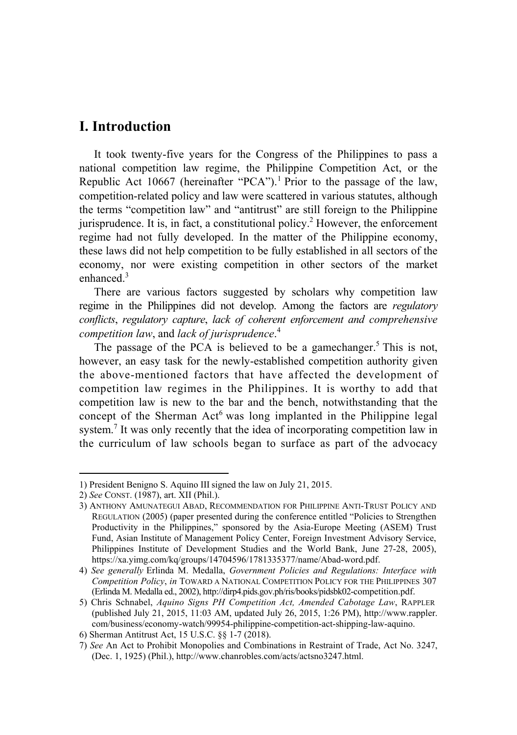# **I. Introduction**

It took twenty-five years for the Congress of the Philippines to pass a national competition law regime, the Philippine Competition Act, or the Republic Act 10667 (hereinafter "PCA").<sup>1</sup> Prior to the passage of the law, competition-related policy and law were scattered in various statutes, although the terms "competition law" and "antitrust" are still foreign to the Philippine jurisprudence. It is, in fact, a constitutional policy.<sup>2</sup> However, the enforcement regime had not fully developed. In the matter of the Philippine economy, these laws did not help competition to be fully established in all sectors of the economy, nor were existing competition in other sectors of the market enhanced.<sup>3</sup>

There are various factors suggested by scholars why competition law regime in the Philippines did not develop. Among the factors are *regulatory conflicts*, *regulatory capture*, *lack of coherent enforcement and comprehensive competition law*, and *lack of jurisprudence*. 4

The passage of the PCA is believed to be a gamechanger.<sup>5</sup> This is not, however, an easy task for the newly-established competition authority given the above-mentioned factors that have affected the development of competition law regimes in the Philippines. It is worthy to add that competition law is new to the bar and the bench, notwithstanding that the concept of the Sherman  $Act^6$  was long implanted in the Philippine legal system.<sup>7</sup> It was only recently that the idea of incorporating competition law in the curriculum of law schools began to surface as part of the advocacy

<sup>1)</sup> President Benigno S. Aquino IIIsigned the law on July 21, 2015.

<sup>2)</sup> *See* CONST. (1987), art. XII (Phil.).

<sup>3)</sup> ANTHONY AMUNATEGUI ABAD, RECOMMENDATION FOR PHILIPPINE ANTI-TRUST POLICY AND REGULATION (2005) (paper presented during the conference entitled "Policies to Strengthen Productivity in the Philippines," sponsored by the Asia-Europe Meeting (ASEM) Trust Fund, Asian Institute of Management Policy Center, Foreign Investment Advisory Service, Philippines Institute of Development Studies and the World Bank, June 27-28, 2005), https://xa.yimg.com/kq/groups/14704596/1781335377/name/Abad-word.pdf.

<sup>4)</sup> *See generally* Erlinda M. Medalla, *Government Policies and Regulations: Interface with Competition Policy*, *in* TOWARD A NATIONAL COMPETITION POLICY FOR THE PHILIPPINES 307 (Erlinda M. Medalla ed., 2002), http://dirp4.pids.gov.ph/ris/books/pidsbk02-competition.pdf.

<sup>5)</sup> Chris Schnabel, *Aquino Signs PH Competition Act, Amended Cabotage Law*, RAPPLER (published July 21, 2015, 11:03 AM, updated July 26, 2015, 1:26 PM), http://www.rappler. com/business/economy-watch/99954-philippine-competition-act-shipping-law-aquino.

<sup>6)</sup> Sherman Antitrust Act, 15 U.S.C. §§ 1-7 (2018).

<sup>7)</sup> *See* An Act to Prohibit Monopolies and Combinations in Restraint of Trade, Act No. 3247, (Dec. 1, 1925) (Phil.), http://www.chanrobles.com/acts/actsno3247.html.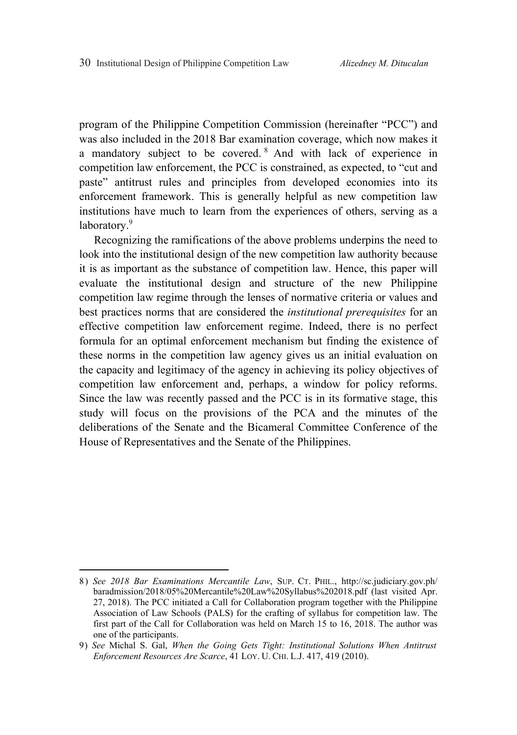program of the Philippine Competition Commission (hereinafter "PCC") and was also included in the 2018 Bar examination coverage, which now makes it a mandatory subject to be covered. <sup>8</sup> And with lack of experience in competition law enforcement, the PCC is constrained, as expected, to "cut and paste" antitrust rules and principles from developed economies into its enforcement framework. This is generally helpful as new competition law institutions have much to learn from the experiences of others, serving as a laboratory.<sup>9</sup>

Recognizing the ramifications of the above problems underpins the need to look into the institutional design of the new competition law authority because it is as important as the substance of competition law. Hence, this paper will evaluate the institutional design and structure of the new Philippine competition law regime through the lenses of normative criteria or values and best practices norms that are considered the *institutional prerequisites* for an effective competition law enforcement regime. Indeed, there is no perfect formula for an optimal enforcement mechanism but finding the existence of these norms in the competition law agency gives us an initial evaluation on the capacity and legitimacy of the agency in achieving its policy objectives of competition law enforcement and, perhaps, a window for policy reforms. Since the law was recently passed and the PCC is in its formative stage, this study will focus on the provisions of the PCA and the minutes of the deliberations of the Senate and the Bicameral Committee Conference of the House of Representatives and the Senate of the Philippines.

<sup>8)</sup> *See 2018 Bar Examinations Mercantile Law*, SUP. CT. PHIL., http://sc.judiciary.gov.ph/ baradmission/2018/05%20Mercantile%20Law%20Syllabus%202018.pdf (last visited Apr. 27, 2018). The PCC initiated a Call for Collaboration program together with the Philippine Association of Law Schools (PALS) for the crafting of syllabus for competition law. The first part of the Call for Collaboration was held on March 15 to 16, 2018. The author was one of the participants.

<sup>9)</sup> *See* Michal S. Gal, *When the Going Gets Tight: Institutional Solutions When Antitrust Enforcement Resources Are Scarce*, 41 LOY. U. CHI. L.J. 417, 419 (2010).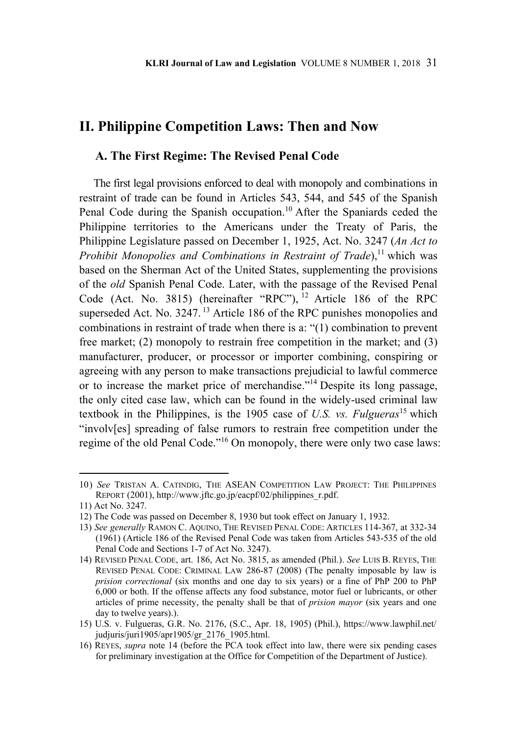# **II. Philippine Competition Laws: Then and Now**

## **A. The First Regime: The Revised Penal Code**

The first legal provisions enforced to deal with monopoly and combinations in restraint of trade can be found in Articles 543, 544, and 545 of the Spanish Penal Code during the Spanish occupation.<sup>10</sup> After the Spaniards ceded the Philippine territories to the Americans under the Treaty of Paris, the Philippine Legislature passed on December 1, 1925, Act. No. 3247 (*An Act to Prohibit Monopolies and Combinations in Restraint of Trade*),<sup>11</sup> which was based on the Sherman Act of the United States, supplementing the provisions of the *old* Spanish Penal Code. Later, with the passage of the Revised Penal Code (Act. No. 3815) (hereinafter "RPC"), <sup>12</sup> Article 186 of the RPC superseded Act. No. 3247.<sup>13</sup> Article 186 of the RPC punishes monopolies and combinations in restraint of trade when there is a: "(1) combination to prevent free market; (2) monopoly to restrain free competition in the market; and (3) manufacturer, producer, or processor or importer combining, conspiring or agreeing with any person to make transactions prejudicial to lawful commerce or to increase the market price of merchandise."14 Despite its long passage, the only cited case law, which can be found in the widely-used criminal law textbook in the Philippines, is the 1905 case of *U.S. vs. Fulgueras*15 which "involv[es] spreading of false rumors to restrain free competition under the regime of the old Penal Code."16 On monopoly, there were only two case laws:

<sup>10)</sup> *See* TRISTAN A. CATINDIG, THE ASEAN COMPETITION LAW PROJECT: THE PHILIPPINES REPORT (2001), http://www.jftc.go.jp/eacpf/02/philippines\_r.pdf.

<sup>11)</sup> Act No. 3247.

<sup>12)</sup> The Code was passed on December 8, 1930 but took effect on January 1, 1932.

<sup>13)</sup> *See generally* RAMON C. AQUINO, THE REVISED PENAL CODE: ARTICLES 114-367, at 332-34 (1961) (Article 186 of the Revised Penal Code was taken from Articles 543-535 of the old Penal Code and Sections 1-7 of Act No. 3247).

<sup>14)</sup> REVISED PENAL CODE, art. 186, Act No. 3815, as amended (Phil.). *See* LUIS B. REYES, THE REVISED PENAL CODE: CRIMINAL LAW 286-87 (2008) (The penalty imposable by law is *prision correctional* (six months and one day to six years) or a fine of PhP 200 to PhP 6,000 or both. If the offense affects any food substance, motor fuel or lubricants, or other articles of prime necessity, the penalty shall be that of *prision mayor* (six years and one day to twelve years).).

<sup>15)</sup> U.S. v. Fulgueras, G.R. No. 2176, (S.C., Apr. 18, 1905) (Phil.), https://www.lawphil.net/ judjuris/juri1905/apr1905/gr\_2176\_1905.html.

<sup>16)</sup> REYES, *supra* note 14 (before the PCA took effect into law, there were six pending cases for preliminary investigation at the Office for Competition of the Department of Justice).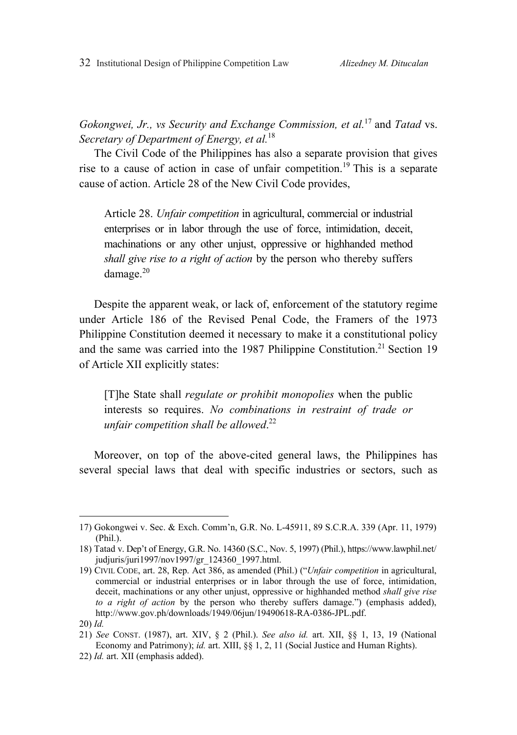32 Institutional Design of Philippine Competition Law *Alizedney M. Ditucalan* 

*Gokongwei, Jr., vs Security and Exchange Commission, et al.*17 and *Tatad* vs. *Secretary of Department of Energy, et al.*18

The Civil Code of the Philippines has also a separate provision that gives rise to a cause of action in case of unfair competition.<sup>19</sup> This is a separate cause of action. Article 28 of the New Civil Code provides,

Article 28. *Unfair competition* in agricultural, commercial or industrial enterprises or in labor through the use of force, intimidation, deceit, machinations or any other unjust, oppressive or highhanded method *shall give rise to a right of action* by the person who thereby suffers damage.<sup>20</sup>

Despite the apparent weak, or lack of, enforcement of the statutory regime under Article 186 of the Revised Penal Code, the Framers of the 1973 Philippine Constitution deemed it necessary to make it a constitutional policy and the same was carried into the 1987 Philippine Constitution.<sup>21</sup> Section 19 of Article XII explicitly states:

[T]he State shall *regulate or prohibit monopolies* when the public interests so requires. *No combinations in restraint of trade or unfair competition shall be allowed*. 22

Moreover, on top of the above-cited general laws, the Philippines has several special laws that deal with specific industries or sectors, such as

<sup>17)</sup> Gokongwei v. Sec. & Exch. Comm'n, G.R. No. L-45911, 89 S.C.R.A. 339 (Apr. 11, 1979) (Phil.).

<sup>18)</sup> Tatad v. Dep't of Energy, G.R. No. 14360 (S.C., Nov. 5, 1997) (Phil.), https://www.lawphil.net/ judjuris/juri1997/nov1997/gr\_124360\_1997.html.

<sup>19)</sup> CIVIL CODE, art. 28, Rep. Act 386, as amended (Phil.) ("*Unfair competition* in agricultural, commercial or industrial enterprises or in labor through the use of force, intimidation, deceit, machinations or any other unjust, oppressive or highhanded method *shall give rise to a right of action* by the person who thereby suffers damage.") (emphasis added), http://www.gov.ph/downloads/1949/06jun/19490618-RA-0386-JPL.pdf.

<sup>20)</sup> *Id.*

<sup>21)</sup> *See* CONST. (1987), art. XIV, § 2 (Phil.). *See also id.* art. XII, §§ 1, 13, 19 (National Economy and Patrimony); *id.* art. XIII, §§ 1, 2, 11 (Social Justice and Human Rights).

<sup>22)</sup> *Id.* art. XII (emphasis added).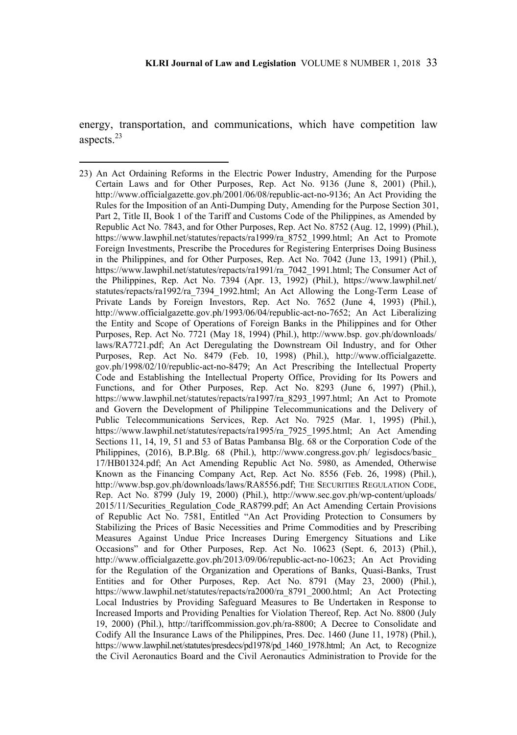energy, transportation, and communications, which have competition law aspects<sup>23</sup>

<sup>23)</sup> An Act Ordaining Reforms in the Electric Power Industry, Amending for the Purpose Certain Laws and for Other Purposes, Rep. Act No. 9136 (June 8, 2001) (Phil.), http://www.officialgazette.gov.ph/2001/06/08/republic-act-no-9136; An Act Providing the Rules for the Imposition of an Anti-Dumping Duty, Amending for the Purpose Section 301, Part 2, Title II, Book 1 of the Tariff and Customs Code of the Philippines, as Amended by Republic Act No. 7843, and for Other Purposes, Rep. Act No. 8752 (Aug. 12, 1999) (Phil.), https://www.lawphil.net/statutes/repacts/ra1999/ra\_8752\_1999.html; An Act to Promote Foreign Investments, Prescribe the Procedures for Registering Enterprises Doing Business in the Philippines, and for Other Purposes, Rep. Act No. 7042 (June 13, 1991) (Phil.), https://www.lawphil.net/statutes/repacts/ra1991/ra\_7042\_1991.html; The Consumer Act of the Philippines, Rep. Act No. 7394 (Apr. 13, 1992) (Phil.), https://www.lawphil.net/ statutes/repacts/ra1992/ra\_7394\_1992.html; An Act Allowing the Long-Term Lease of Private Lands by Foreign Investors, Rep. Act No. 7652 (June 4, 1993) (Phil.), http://www.officialgazette.gov.ph/1993/06/04/republic-act-no-7652; An Act Liberalizing the Entity and Scope of Operations of Foreign Banks in the Philippines and for Other Purposes, Rep. Act No. 7721 (May 18, 1994) (Phil.), http://www.bsp. gov.ph/downloads/ laws/RA7721.pdf; An Act Deregulating the Downstream Oil Industry, and for Other Purposes, Rep. Act No. 8479 (Feb. 10, 1998) (Phil.), http://www.officialgazette. gov.ph/1998/02/10/republic-act-no-8479; An Act Prescribing the Intellectual Property Code and Establishing the Intellectual Property Office, Providing for Its Powers and Functions, and for Other Purposes, Rep. Act No. 8293 (June 6, 1997) (Phil.), https://www.lawphil.net/statutes/repacts/ra1997/ra\_8293\_1997.html; An Act to Promote and Govern the Development of Philippine Telecommunications and the Delivery of Public Telecommunications Services, Rep. Act No. 7925 (Mar. 1, 1995) (Phil.), https://www.lawphil.net/statutes/repacts/ra1995/ra\_7925\_1995.html; An Act Amending Sections 11, 14, 19, 51 and 53 of Batas Pambansa Blg. 68 or the Corporation Code of the Philippines, (2016), B.P.Blg. 68 (Phil.), http://www.congress.gov.ph/ legisdocs/basic\_ 17/HB01324.pdf; An Act Amending Republic Act No. 5980, as Amended, Otherwise Known as the Financing Company Act, Rep. Act No. 8556 (Feb. 26, 1998) (Phil.), http://www.bsp.gov.ph/downloads/laws/RA8556.pdf; THE SECURITIES REGULATION CODE, Rep. Act No. 8799 (July 19, 2000) (Phil.), http://www.sec.gov.ph/wp-content/uploads/ 2015/11/Securities\_Regulation\_Code\_RA8799.pdf; An Act Amending Certain Provisions of Republic Act No. 7581, Entitled "An Act Providing Protection to Consumers by Stabilizing the Prices of Basic Necessities and Prime Commodities and by Prescribing Measures Against Undue Price Increases During Emergency Situations and Like Occasions" and for Other Purposes, Rep. Act No. 10623 (Sept. 6, 2013) (Phil.), http://www.officialgazette.gov.ph/2013/09/06/republic-act-no-10623; An Act Providing for the Regulation of the Organization and Operations of Banks, Quasi-Banks, Trust Entities and for Other Purposes, Rep. Act No. 8791 (May 23, 2000) (Phil.), https://www.lawphil.net/statutes/repacts/ra2000/ra\_8791\_2000.html; An Act Protecting Local Industries by Providing Safeguard Measures to Be Undertaken in Response to Increased Imports and Providing Penalties for Violation Thereof, Rep. Act No. 8800 (July 19, 2000) (Phil.), http://tariffcommission.gov.ph/ra-8800; A Decree to Consolidate and Codify All the Insurance Laws of the Philippines, Pres. Dec. 1460 (June 11, 1978) (Phil.), https://www.lawphil.net/statutes/presdecs/pd1978/pd 1460 1978.html; An Act, to Recognize the Civil Aeronautics Board and the Civil Aeronautics Administration to Provide for the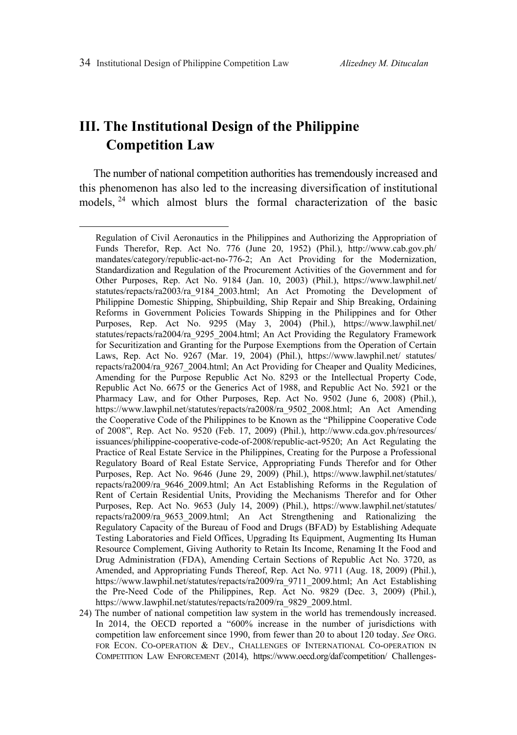# **III. The Institutional Design of the Philippine Competition Law**

The number of national competition authorities has tremendously increased and this phenomenon has also led to the increasing diversification of institutional models, 24 which almost blurs the formal characterization of the basic

24) The number of national competition law system in the world has tremendously increased. In 2014, the OECD reported a "600% increase in the number of jurisdictions with competition law enforcement since 1990, from fewer than 20 to about 120 today. *See* ORG. FOR ECON. CO-OPERATION & DEV., CHALLENGES OF INTERNATIONAL CO-OPERATION IN COMPETITION LAW ENFORCEMENT (2014), https://www.oecd.org/daf/competition/ Challenges-

Regulation of Civil Aeronautics in the Philippines and Authorizing the Appropriation of Funds Therefor, Rep. Act No. 776 (June 20, 1952) (Phil.), http://www.cab.gov.ph/ mandates/category/republic-act-no-776-2; An Act Providing for the Modernization, Standardization and Regulation of the Procurement Activities of the Government and for Other Purposes, Rep. Act No. 9184 (Jan. 10, 2003) (Phil.), https://www.lawphil.net/ statutes/repacts/ra2003/ra\_9184\_2003.html; An Act Promoting the Development of Philippine Domestic Shipping, Shipbuilding, Ship Repair and Ship Breaking, Ordaining Reforms in Government Policies Towards Shipping in the Philippines and for Other Purposes, Rep. Act No. 9295 (May 3, 2004) (Phil.), https://www.lawphil.net/ statutes/repacts/ra2004/ra\_9295\_2004.html; An Act Providing the Regulatory Framework for Securitization and Granting for the Purpose Exemptions from the Operation of Certain Laws, Rep. Act No. 9267 (Mar. 19, 2004) (Phil.), https://www.lawphil.net/ statutes/ repacts/ra2004/ra\_9267\_2004.html; An Act Providing for Cheaper and Quality Medicines, Amending for the Purpose Republic Act No. 8293 or the Intellectual Property Code, Republic Act No. 6675 or the Generics Act of 1988, and Republic Act No. 5921 or the Pharmacy Law, and for Other Purposes, Rep. Act No. 9502 (June 6, 2008) (Phil.), https://www.lawphil.net/statutes/repacts/ra2008/ra\_9502\_2008.html; An Act Amending the Cooperative Code of the Philippines to be Known as the "Philippine Cooperative Code of 2008", Rep. Act No. 9520 (Feb. 17, 2009) (Phil.), http://www.cda.gov.ph/resources/ issuances/philippine-cooperative-code-of-2008/republic-act-9520; An Act Regulating the Practice of Real Estate Service in the Philippines, Creating for the Purpose a Professional Regulatory Board of Real Estate Service, Appropriating Funds Therefor and for Other Purposes, Rep. Act No. 9646 (June 29, 2009) (Phil.), https://www.lawphil.net/statutes/ repacts/ra2009/ra\_9646\_2009.html; An Act Establishing Reforms in the Regulation of Rent of Certain Residential Units, Providing the Mechanisms Therefor and for Other Purposes, Rep. Act No. 9653 (July 14, 2009) (Phil.), https://www.lawphil.net/statutes/ repacts/ra2009/ra\_9653\_2009.html; An Act Strengthening and Rationalizing the Regulatory Capacity of the Bureau of Food and Drugs (BFAD) by Establishing Adequate Testing Laboratories and Field Offices, Upgrading Its Equipment, Augmenting Its Human Resource Complement, Giving Authority to Retain Its Income, Renaming It the Food and Drug Administration (FDA), Amending Certain Sections of Republic Act No. 3720, as Amended, and Appropriating Funds Thereof, Rep. Act No. 9711 (Aug. 18, 2009) (Phil.), https://www.lawphil.net/statutes/repacts/ra2009/ra\_9711\_2009.html; An Act Establishing the Pre-Need Code of the Philippines, Rep. Act No. 9829 (Dec. 3, 2009) (Phil.), https://www.lawphil.net/statutes/repacts/ra2009/ra\_9829\_2009.html.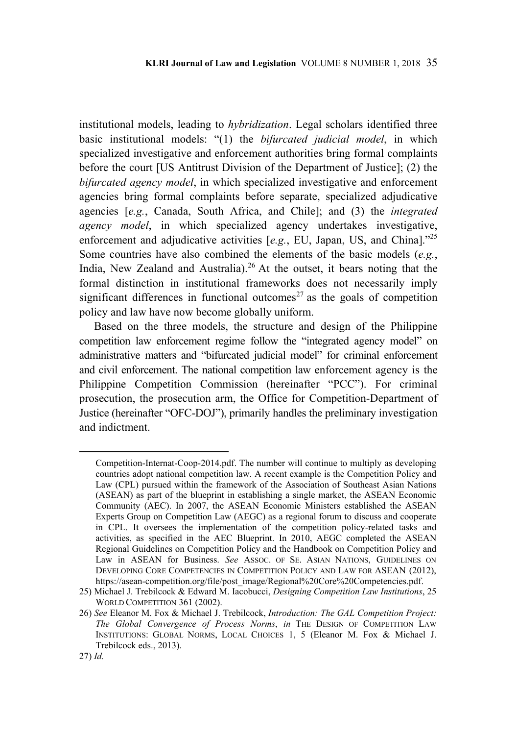institutional models, leading to *hybridization*. Legal scholars identified three basic institutional models: "(1) the *bifurcated judicial model*, in which specialized investigative and enforcement authorities bring formal complaints before the court [US Antitrust Division of the Department of Justice]; (2) the *bifurcated agency model*, in which specialized investigative and enforcement agencies bring formal complaints before separate, specialized adjudicative agencies [*e.g.*, Canada, South Africa, and Chile]; and (3) the *integrated agency model*, in which specialized agency undertakes investigative, enforcement and adjudicative activities [*e.g.*, EU, Japan, US, and China]."25 Some countries have also combined the elements of the basic models (*e.g.*, India, New Zealand and Australia).<sup>26</sup> At the outset, it bears noting that the formal distinction in institutional frameworks does not necessarily imply significant differences in functional outcomes<sup>27</sup> as the goals of competition policy and law have now become globally uniform.

Based on the three models, the structure and design of the Philippine competition law enforcement regime follow the "integrated agency model" on administrative matters and "bifurcated judicial model" for criminal enforcement and civil enforcement. The national competition law enforcement agency is the Philippine Competition Commission (hereinafter "PCC"). For criminal prosecution, the prosecution arm, the Office for Competition-Department of Justice (hereinafter "OFC-DOJ"), primarily handles the preliminary investigation and indictment.

Competition-Internat-Coop-2014.pdf. The number will continue to multiply as developing countries adopt national competition law. A recent example is the Competition Policy and Law (CPL) pursued within the framework of the Association of Southeast Asian Nations (ASEAN) as part of the blueprint in establishing a single market, the ASEAN Economic Community (AEC). In 2007, the ASEAN Economic Ministers established the ASEAN Experts Group on Competition Law (AEGC) as a regional forum to discuss and cooperate in CPL. It oversees the implementation of the competition policy-related tasks and activities, as specified in the AEC Blueprint. In 2010, AEGC completed the ASEAN Regional Guidelines on Competition Policy and the Handbook on Competition Policy and Law in ASEAN for Business. *See* ASSOC. OF SE. ASIAN NATIONS, GUIDELINES ON DEVELOPING CORE COMPETENCIES IN COMPETITION POLICY AND LAW FOR ASEAN (2012), https://asean-competition.org/file/post\_image/Regional%20Core%20Competencies.pdf.

<sup>25)</sup> Michael J. Trebilcock & Edward M. Iacobucci, *Designing Competition Law Institutions*, 25 WORLD COMPETITION 361 (2002).

<sup>26)</sup> *See* Eleanor M. Fox & Michael J. Trebilcock, *Introduction: The GAL Competition Project: The Global Convergence of Process Norms*, *in* THE DESIGN OF COMPETITION LAW INSTITUTIONS: GLOBAL NORMS, LOCAL CHOICES 1, 5 (Eleanor M. Fox & Michael J. Trebilcock eds., 2013).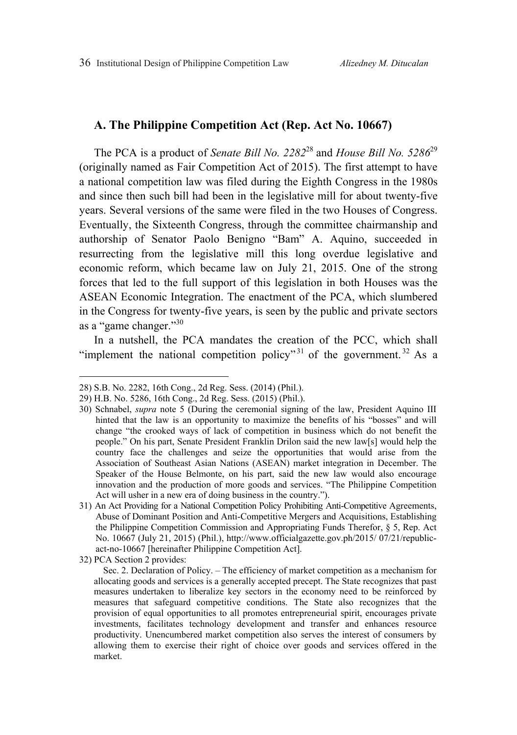# **A. The Philippine Competition Act (Rep. Act No. 10667)**

The PCA is a product of *Senate Bill No. 2282*28 and *House Bill No. 5286*<sup>29</sup> (originally named as Fair Competition Act of 2015). The first attempt to have a national competition law was filed during the Eighth Congress in the 1980s and since then such bill had been in the legislative mill for about twenty-five years. Several versions of the same were filed in the two Houses of Congress. Eventually, the Sixteenth Congress, through the committee chairmanship and authorship of Senator Paolo Benigno "Bam" A. Aquino, succeeded in resurrecting from the legislative mill this long overdue legislative and economic reform, which became law on July 21, 2015. One of the strong forces that led to the full support of this legislation in both Houses was the ASEAN Economic Integration. The enactment of the PCA, which slumbered in the Congress for twenty-five years, is seen by the public and private sectors as a "game changer."30

In a nutshell, the PCA mandates the creation of the PCC, which shall "implement the national competition policy"<sup>31</sup> of the government.<sup>32</sup> As a

<sup>28)</sup> S.B. No. 2282, 16th Cong., 2d Reg. Sess. (2014) (Phil.).

<sup>29)</sup> H.B. No. 5286, 16th Cong., 2d Reg. Sess. (2015) (Phil.).

<sup>30)</sup> Schnabel, *supra* note 5 (During the ceremonial signing of the law, President Aquino III hinted that the law is an opportunity to maximize the benefits of his "bosses" and will change "the crooked ways of lack of competition in business which do not benefit the people." On his part, Senate President Franklin Drilon said the new law[s] would help the country face the challenges and seize the opportunities that would arise from the Association of Southeast Asian Nations (ASEAN) market integration in December. The Speaker of the House Belmonte, on his part, said the new law would also encourage innovation and the production of more goods and services. "The Philippine Competition Act will usher in a new era of doing business in the country.").

<sup>31)</sup> An Act Providing for a National Competition Policy Prohibiting Anti-Competitive Agreements, Abuse of Dominant Position and Anti-Competitive Mergers and Acquisitions, Establishing the Philippine Competition Commission and Appropriating Funds Therefor, § 5, Rep. Act No. 10667 (July 21, 2015) (Phil.), http://www.officialgazette.gov.ph/2015/ 07/21/republicact-no-10667 [hereinafter Philippine Competition Act].

<sup>32)</sup> PCA Section 2 provides:

Sec. 2. Declaration of Policy. – The efficiency of market competition as a mechanism for allocating goods and services is a generally accepted precept. The State recognizes that past measures undertaken to liberalize key sectors in the economy need to be reinforced by measures that safeguard competitive conditions. The State also recognizes that the provision of equal opportunities to all promotes entrepreneurial spirit, encourages private investments, facilitates technology development and transfer and enhances resource productivity. Unencumbered market competition also serves the interest of consumers by allowing them to exercise their right of choice over goods and services offered in the market.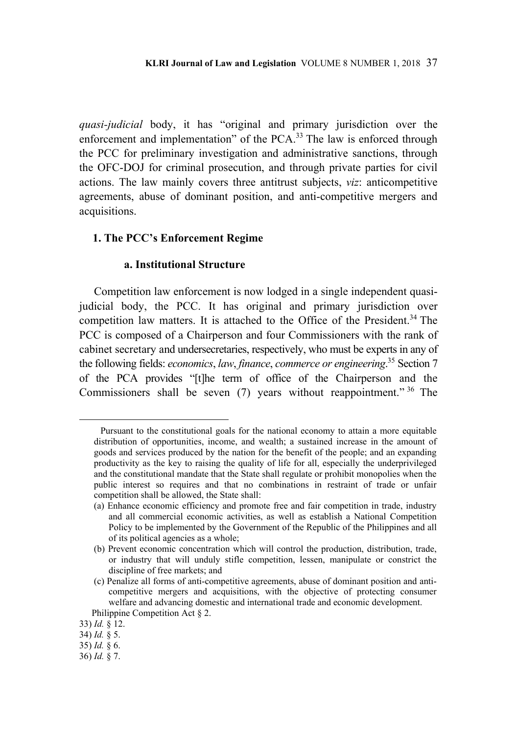*quasi-judicial* body, it has "original and primary jurisdiction over the enforcement and implementation" of the PCA.<sup>33</sup> The law is enforced through the PCC for preliminary investigation and administrative sanctions, through the OFC-DOJ for criminal prosecution, and through private parties for civil actions. The law mainly covers three antitrust subjects, *viz*: anticompetitive agreements, abuse of dominant position, and anti-competitive mergers and acquisitions.

### **1. The PCC's Enforcement Regime**

#### **a. Institutional Structure**

Competition law enforcement is now lodged in a single independent quasijudicial body, the PCC. It has original and primary jurisdiction over competition law matters. It is attached to the Office of the President.<sup>34</sup> The PCC is composed of a Chairperson and four Commissioners with the rank of cabinet secretary and undersecretaries, respectively, who must be experts in any of the following fields: *economics*, *law*, *finance*, *commerce or engineering*. 35 Section 7 of the PCA provides "[t]he term of office of the Chairperson and the Commissioners shall be seven (7) years without reappointment." 36 The

Pursuant to the constitutional goals for the national economy to attain a more equitable distribution of opportunities, income, and wealth; a sustained increase in the amount of goods and services produced by the nation for the benefit of the people; and an expanding productivity as the key to raising the quality of life for all, especially the underprivileged and the constitutional mandate that the State shall regulate or prohibit monopolies when the public interest so requires and that no combinations in restraint of trade or unfair competition shall be allowed, the State shall:

<sup>(</sup>a) Enhance economic efficiency and promote free and fair competition in trade, industry and all commercial economic activities, as well as establish a National Competition Policy to be implemented by the Government of the Republic of the Philippines and all of its political agencies as a whole;

<sup>(</sup>b) Prevent economic concentration which will control the production, distribution, trade, or industry that will unduly stifle competition, lessen, manipulate or constrict the discipline of free markets; and

<sup>(</sup>c) Penalize all forms of anti-competitive agreements, abuse of dominant position and anticompetitive mergers and acquisitions, with the objective of protecting consumer welfare and advancing domestic and international trade and economic development.

Philippine Competition Act § 2.

<sup>33)</sup> *Id.* § 12.

<sup>34)</sup> *Id.* § 5.

<sup>35)</sup> *Id.* § 6.

<sup>36)</sup> *Id.* § 7.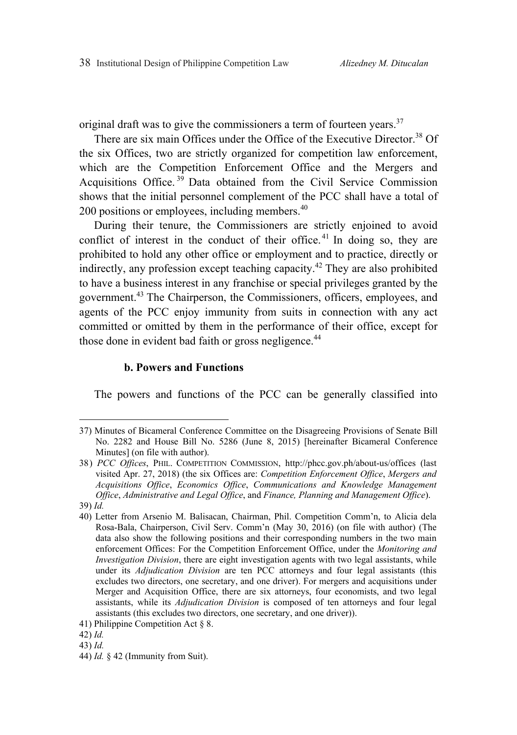original draft was to give the commissioners a term of fourteen years.<sup>37</sup>

There are six main Offices under the Office of the Executive Director.<sup>38</sup> Of the six Offices, two are strictly organized for competition law enforcement, which are the Competition Enforcement Office and the Mergers and Acquisitions Office.<sup>39</sup> Data obtained from the Civil Service Commission shows that the initial personnel complement of the PCC shall have a total of 200 positions or employees, including members.<sup>40</sup>

During their tenure, the Commissioners are strictly enjoined to avoid conflict of interest in the conduct of their office.<sup>41</sup> In doing so, they are prohibited to hold any other office or employment and to practice, directly or indirectly, any profession except teaching capacity.42 They are also prohibited to have a business interest in any franchise or special privileges granted by the government.43 The Chairperson, the Commissioners, officers, employees, and agents of the PCC enjoy immunity from suits in connection with any act committed or omitted by them in the performance of their office, except for those done in evident bad faith or gross negligence.<sup>44</sup>

### **b. Powers and Functions**

The powers and functions of the PCC can be generally classified into

<sup>37)</sup> Minutes of Bicameral Conference Committee on the Disagreeing Provisions of Senate Bill No. 2282 and House Bill No. 5286 (June 8, 2015) [hereinafter Bicameral Conference Minutes] (on file with author).

<sup>38)</sup> *PCC Offices*, PHIL. COMPETITION COMMISSION, http://phcc.gov.ph/about-us/offices (last visited Apr. 27, 2018) (the six Offices are: *Competition Enforcement Office*, *Mergers and Acquisitions Office*, *Economics Office*, *Communications and Knowledge Management Office*, *Administrative and Legal Office*, and *Finance, Planning and Management Office*). 39) *Id.*

<sup>40)</sup> Letter from Arsenio M. Balisacan, Chairman, Phil. Competition Comm'n, to Alicia dela Rosa-Bala, Chairperson, Civil Serv. Comm'n (May 30, 2016) (on file with author) (The data also show the following positions and their corresponding numbers in the two main enforcement Offices: For the Competition Enforcement Office, under the *Monitoring and Investigation Division*, there are eight investigation agents with two legal assistants, while under its *Adjudication Division* are ten PCC attorneys and four legal assistants (this excludes two directors, one secretary, and one driver). For mergers and acquisitions under Merger and Acquisition Office, there are six attorneys, four economists, and two legal assistants, while its *Adjudication Division* is composed of ten attorneys and four legal assistants (this excludes two directors, one secretary, and one driver)).

<sup>41)</sup> Philippine Competition Act § 8.

<sup>42)</sup> *Id.* 

<sup>43)</sup> *Id.*

<sup>44)</sup> *Id.* § 42 (Immunity from Suit).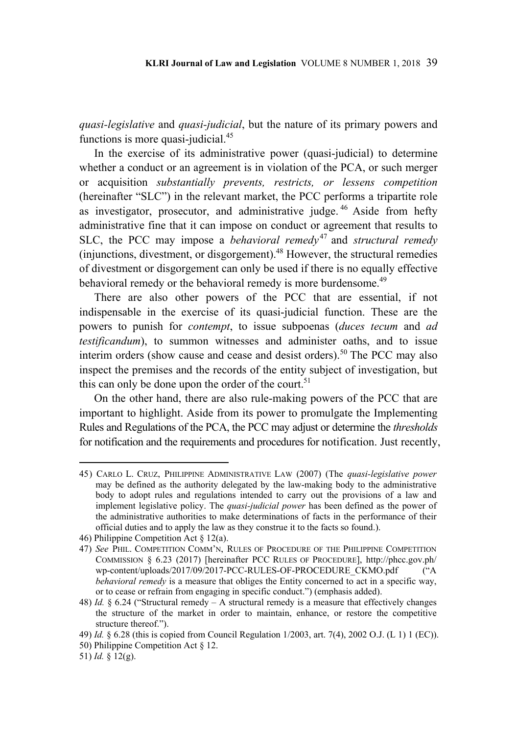*quasi-legislative* and *quasi-judicial*, but the nature of its primary powers and functions is more quasi-judicial.<sup>45</sup>

In the exercise of its administrative power (quasi-judicial) to determine whether a conduct or an agreement is in violation of the PCA, or such merger or acquisition *substantially prevents, restricts, or lessens competition* (hereinafter "SLC") in the relevant market, the PCC performs a tripartite role as investigator, prosecutor, and administrative judge. 46 Aside from hefty administrative fine that it can impose on conduct or agreement that results to SLC, the PCC may impose a *behavioral remedy*<sup>47</sup> and *structural remedy* (injunctions, divestment, or disgorgement).48 However, the structural remedies of divestment or disgorgement can only be used if there is no equally effective behavioral remedy or the behavioral remedy is more burdensome.<sup>49</sup>

There are also other powers of the PCC that are essential, if not indispensable in the exercise of its quasi-judicial function. These are the powers to punish for *contempt*, to issue subpoenas (*duces tecum* and *ad testificandum*), to summon witnesses and administer oaths, and to issue interim orders (show cause and cease and desist orders).<sup>50</sup> The PCC may also inspect the premises and the records of the entity subject of investigation, but this can only be done upon the order of the court.<sup>51</sup>

On the other hand, there are also rule-making powers of the PCC that are important to highlight. Aside from its power to promulgate the Implementing Rules and Regulations of the PCA, the PCC may adjust or determine the *thresholds* for notification and the requirements and procedures for notification. Just recently,

<sup>45)</sup> CARLO L. CRUZ, PHILIPPINE ADMINISTRATIVE LAW (2007) (The *quasi-legislative power* may be defined as the authority delegated by the law-making body to the administrative body to adopt rules and regulations intended to carry out the provisions of a law and implement legislative policy. The *quasi-judicial power* has been defined as the power of the administrative authorities to make determinations of facts in the performance of their official duties and to apply the law as they construe it to the facts so found.).

<sup>46)</sup> Philippine Competition Act § 12(a).

<sup>47)</sup> *See* PHIL. COMPETITION COMM'N, RULES OF PROCEDURE OF THE PHILIPPINE COMPETITION COMMISSION § 6.23 (2017) [hereinafter PCC RULES OF PROCEDURE], http://phcc.gov.ph/ wp-content/uploads/2017/09/2017-PCC-RULES-OF-PROCEDURE\_CKMO.pdf ("A *behavioral remedy* is a measure that obliges the Entity concerned to act in a specific way, or to cease or refrain from engaging in specific conduct.") (emphasis added).

<sup>48)</sup> *Id.* § 6.24 ("Structural remedy – A structural remedy is a measure that effectively changes the structure of the market in order to maintain, enhance, or restore the competitive structure thereof.").

<sup>49)</sup> *Id.* § 6.28 (this is copied from Council Regulation 1/2003, art. 7(4), 2002 O.J. (L 1) 1 (EC)).

<sup>50)</sup> Philippine Competition Act § 12.

<sup>51)</sup> *Id.* § 12(g).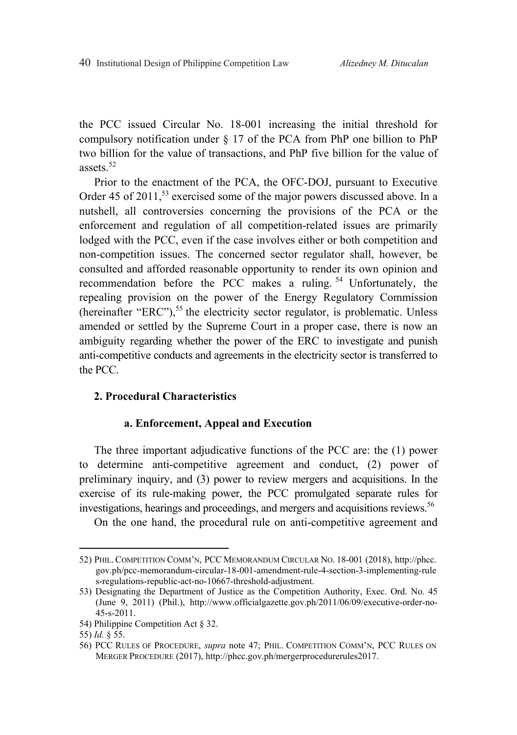the PCC issued Circular No. 18-001 increasing the initial threshold for compulsory notification under § 17 of the PCA from PhP one billion to PhP two billion for the value of transactions, and PhP five billion for the value of assets<sup>52</sup>

Prior to the enactment of the PCA, the OFC-DOJ, pursuant to Executive Order 45 of 2011,<sup>53</sup> exercised some of the major powers discussed above. In a nutshell, all controversies concerning the provisions of the PCA or the enforcement and regulation of all competition-related issues are primarily lodged with the PCC, even if the case involves either or both competition and non-competition issues. The concerned sector regulator shall, however, be consulted and afforded reasonable opportunity to render its own opinion and recommendation before the PCC makes a ruling.<sup>54</sup> Unfortunately, the repealing provision on the power of the Energy Regulatory Commission (hereinafter "ERC"),  $55$  the electricity sector regulator, is problematic. Unless amended or settled by the Supreme Court in a proper case, there is now an ambiguity regarding whether the power of the ERC to investigate and punish anti-competitive conducts and agreements in the electricity sector is transferred to the PCC.

# **2. Procedural Characteristics**

#### **a. Enforcement, Appeal and Execution**

The three important adjudicative functions of the PCC are: the (1) power to determine anti-competitive agreement and conduct, (2) power of preliminary inquiry, and (3) power to review mergers and acquisitions. In the exercise of its rule-making power, the PCC promulgated separate rules for investigations, hearings and proceedings, and mergers and acquisitions reviews.<sup>56</sup>

On the one hand, the procedural rule on anti-competitive agreement and

<sup>52)</sup> PHIL. COMPETITION COMM'N, PCC MEMORANDUM CIRCULAR NO. 18-001 (2018), http://phcc. gov.ph/pcc-memorandum-circular-18-001-amendment-rule-4-section-3-implementing-rule s-regulations-republic-act-no-10667-threshold-adjustment.

<sup>53)</sup> Designating the Department of Justice as the Competition Authority, Exec. Ord. No. 45 (June 9, 2011) (Phil.), http://www.officialgazette.gov.ph/2011/06/09/executive-order-no-45-s-2011.

<sup>54)</sup> Philippine Competition Act § 32.

<sup>55)</sup> *Id.* § 55.

<sup>56)</sup> PCC RULES OF PROCEDURE, *supra* note 47; PHIL. COMPETITION COMM'N, PCC RULES ON MERGER PROCEDURE (2017), http://phcc.gov.ph/mergerprocedurerules2017.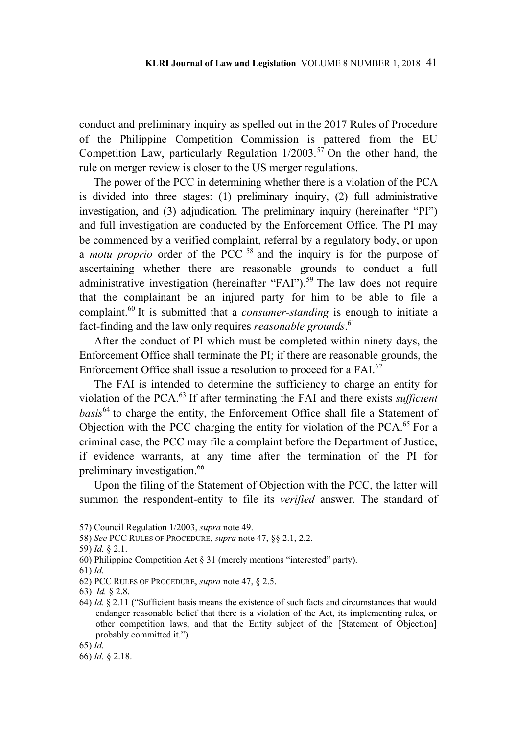conduct and preliminary inquiry as spelled out in the 2017 Rules of Procedure of the Philippine Competition Commission is pattered from the EU Competition Law, particularly Regulation  $1/2003$ .<sup>57</sup> On the other hand, the rule on merger review is closer to the US merger regulations.

The power of the PCC in determining whether there is a violation of the PCA is divided into three stages: (1) preliminary inquiry, (2) full administrative investigation, and (3) adjudication. The preliminary inquiry (hereinafter "PI") and full investigation are conducted by the Enforcement Office. The PI may be commenced by a verified complaint, referral by a regulatory body, or upon a *motu proprio* order of the PCC<sup>58</sup> and the inquiry is for the purpose of ascertaining whether there are reasonable grounds to conduct a full administrative investigation (hereinafter "FAI").<sup>59</sup> The law does not require that the complainant be an injured party for him to be able to file a complaint.60 It is submitted that a *consumer-standing* is enough to initiate a fact-finding and the law only requires *reasonable grounds*. 61

After the conduct of PI which must be completed within ninety days, the Enforcement Office shall terminate the PI; if there are reasonable grounds, the Enforcement Office shall issue a resolution to proceed for a FAI.<sup>62</sup>

The FAI is intended to determine the sufficiency to charge an entity for violation of the PCA.63 If after terminating the FAI and there exists *sufficient basis*64 to charge the entity, the Enforcement Office shall file a Statement of Objection with the PCC charging the entity for violation of the PCA.<sup>65</sup> For a criminal case, the PCC may file a complaint before the Department of Justice, if evidence warrants, at any time after the termination of the PI for preliminary investigation.<sup>66</sup>

Upon the filing of the Statement of Objection with the PCC, the latter will summon the respondent-entity to file its *verified* answer. The standard of

<sup>57)</sup> Council Regulation 1/2003, *supra* note 49.

<sup>58)</sup> *See* PCC RULES OF PROCEDURE, *supra* note 47, §§ 2.1, 2.2.

<sup>59)</sup> *Id.* § 2.1.

<sup>60)</sup> Philippine Competition Act § 31 (merely mentions "interested" party).

<sup>61)</sup> *Id.*

<sup>62)</sup> PCC RULES OF PROCEDURE, *supra* note 47, § 2.5.

<sup>63)</sup> *Id.* § 2.8.

<sup>64)</sup> *Id.* § 2.11 ("Sufficient basis means the existence of such facts and circumstances that would endanger reasonable belief that there is a violation of the Act, its implementing rules, or other competition laws, and that the Entity subject of the [Statement of Objection] probably committed it.").

<sup>65)</sup> *Id.*

<sup>66)</sup> *Id.* § 2.18.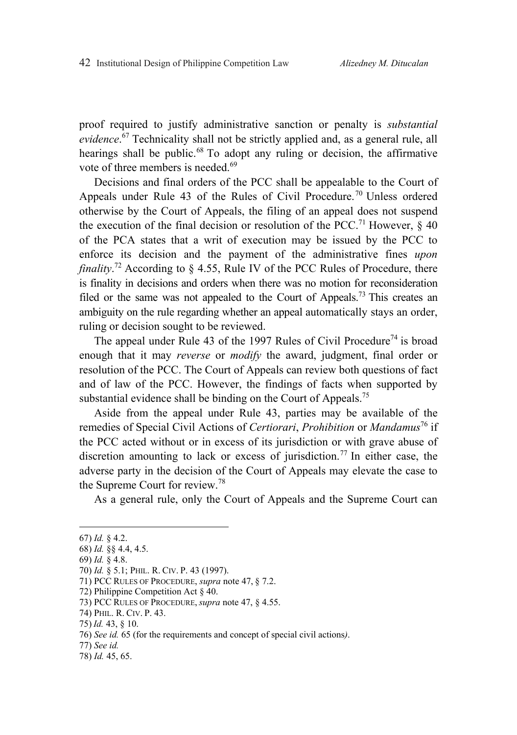proof required to justify administrative sanction or penalty is *substantial evidence*. 67 Technicality shall not be strictly applied and, as a general rule, all hearings shall be public.<sup>68</sup> To adopt any ruling or decision, the affirmative vote of three members is needed.<sup>69</sup>

Decisions and final orders of the PCC shall be appealable to the Court of Appeals under Rule 43 of the Rules of Civil Procedure.<sup>70</sup> Unless ordered otherwise by the Court of Appeals, the filing of an appeal does not suspend the execution of the final decision or resolution of the PCC.<sup>71</sup> However,  $\&$  40 of the PCA states that a writ of execution may be issued by the PCC to enforce its decision and the payment of the administrative fines *upon finality*. 72 According to § 4.55, Rule IV of the PCC Rules of Procedure, there is finality in decisions and orders when there was no motion for reconsideration filed or the same was not appealed to the Court of Appeals.<sup>73</sup> This creates an ambiguity on the rule regarding whether an appeal automatically stays an order, ruling or decision sought to be reviewed.

The appeal under Rule 43 of the 1997 Rules of Civil Procedure<sup>74</sup> is broad enough that it may *reverse* or *modify* the award, judgment, final order or resolution of the PCC. The Court of Appeals can review both questions of fact and of law of the PCC. However, the findings of facts when supported by substantial evidence shall be binding on the Court of Appeals.<sup>75</sup>

Aside from the appeal under Rule 43, parties may be available of the remedies of Special Civil Actions of *Certiorari*, *Prohibition* or *Mandamus*76 if the PCC acted without or in excess of its jurisdiction or with grave abuse of discretion amounting to lack or excess of jurisdiction.77 In either case, the adverse party in the decision of the Court of Appeals may elevate the case to the Supreme Court for review.<sup>78</sup>

As a general rule, only the Court of Appeals and the Supreme Court can

<sup>67)</sup> *Id.* § 4.2.

<sup>68)</sup> *Id.* §§ 4.4, 4.5.

<sup>69)</sup> *Id.* § 4.8.

<sup>70)</sup> *Id.* § 5.1; PHIL. R. CIV. P. 43 (1997).

<sup>71)</sup> PCC RULES OF PROCEDURE, *supra* note 47, § 7.2.

<sup>72)</sup> Philippine Competition Act § 40.

<sup>73)</sup> PCC RULES OF PROCEDURE, *supra* note 47, § 4.55.

<sup>74)</sup> PHIL. R. CIV. P. 43.

<sup>75)</sup> *Id.* 43, § 10.

<sup>76)</sup> *See id.* 65 (for the requirements and concept of special civil actions*)*.

<sup>77)</sup> *See id.*

<sup>78)</sup> *Id.* 45, 65.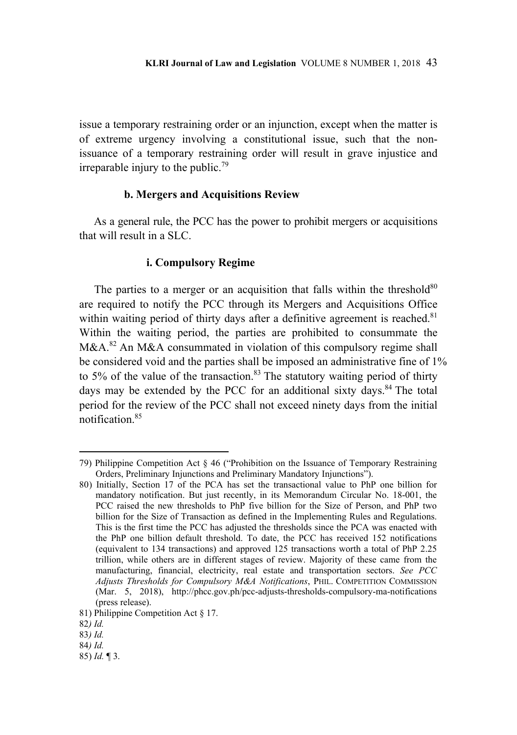issue a temporary restraining order or an injunction, except when the matter is of extreme urgency involving a constitutional issue, such that the nonissuance of a temporary restraining order will result in grave injustice and irreparable injury to the public.<sup>79</sup>

### **b. Mergers and Acquisitions Review**

As a general rule, the PCC has the power to prohibit mergers or acquisitions that will result in a SLC.

#### **i. Compulsory Regime**

The parties to a merger or an acquisition that falls within the threshold $80$ are required to notify the PCC through its Mergers and Acquisitions Office within waiting period of thirty days after a definitive agreement is reached.<sup>81</sup> Within the waiting period, the parties are prohibited to consummate the  $M&A<sup>82</sup>$  An M&A consummated in violation of this compulsory regime shall be considered void and the parties shall be imposed an administrative fine of 1% to 5% of the value of the transaction.<sup>83</sup> The statutory waiting period of thirty days may be extended by the PCC for an additional sixty days.<sup>84</sup> The total period for the review of the PCC shall not exceed ninety days from the initial notification.<sup>85</sup>

 $\overline{a}$ 

85) *Id.* ¶ 3.

<sup>79)</sup> Philippine Competition Act § 46 ("Prohibition on the Issuance of Temporary Restraining Orders, Preliminary Injunctions and Preliminary Mandatory Injunctions").

<sup>80)</sup> Initially, Section 17 of the PCA has set the transactional value to PhP one billion for mandatory notification. But just recently, in its Memorandum Circular No. 18-001, the PCC raised the new thresholds to PhP five billion for the Size of Person, and PhP two billion for the Size of Transaction as defined in the Implementing Rules and Regulations. This is the first time the PCC has adjusted the thresholds since the PCA was enacted with the PhP one billion default threshold. To date, the PCC has received 152 notifications (equivalent to 134 transactions) and approved 125 transactions worth a total of PhP 2.25 trillion, while others are in different stages of review. Majority of these came from the manufacturing, financial, electricity, real estate and transportation sectors. *See PCC Adjusts Thresholds for Compulsory M&A Notifications*, PHIL. COMPETITION COMMISSION (Mar. 5, 2018), http://phcc.gov.ph/pcc-adjusts-thresholds-compulsory-ma-notifications (press release).

<sup>81)</sup> Philippine Competition Act § 17.

<sup>82</sup>*) Id.*

<sup>83</sup>*) Id.*

<sup>84</sup>*) Id.*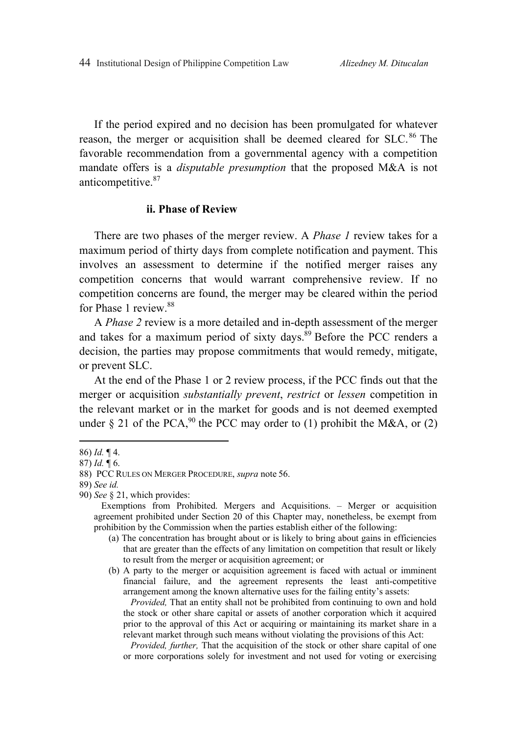If the period expired and no decision has been promulgated for whatever reason, the merger or acquisition shall be deemed cleared for SLC.<sup>86</sup> The favorable recommendation from a governmental agency with a competition mandate offers is a *disputable presumption* that the proposed M&A is not anticompetitive.<sup>87</sup>

#### **ii. Phase of Review**

There are two phases of the merger review. A *Phase 1* review takes for a maximum period of thirty days from complete notification and payment. This involves an assessment to determine if the notified merger raises any competition concerns that would warrant comprehensive review. If no competition concerns are found, the merger may be cleared within the period for Phase 1 review.<sup>88</sup>

A *Phase 2* review is a more detailed and in-depth assessment of the merger and takes for a maximum period of sixty days.<sup>89</sup> Before the PCC renders a decision, the parties may propose commitments that would remedy, mitigate, or prevent SLC.

At the end of the Phase 1 or 2 review process, if the PCC finds out that the merger or acquisition *substantially prevent*, *restrict* or *lessen* competition in the relevant market or in the market for goods and is not deemed exempted under  $\S$  21 of the PCA,<sup>90</sup> the PCC may order to (1) prohibit the M&A, or (2)

 $\overline{a}$ 

*Provided,* That an entity shall not be prohibited from continuing to own and hold the stock or other share capital or assets of another corporation which it acquired prior to the approval of this Act or acquiring or maintaining its market share in a relevant market through such means without violating the provisions of this Act:

*Provided, further,* That the acquisition of the stock or other share capital of one or more corporations solely for investment and not used for voting or exercising

<sup>86)</sup> *Id.* ¶ 4.

<sup>87)</sup> *Id.* ¶ 6.

<sup>88)</sup> PCC RULES ON MERGER PROCEDURE, *supra* note 56.

<sup>89)</sup> *See id.*

<sup>90)</sup> *See* § 21, which provides:

Exemptions from Prohibited. Mergers and Acquisitions. – Merger or acquisition agreement prohibited under Section 20 of this Chapter may, nonetheless, be exempt from prohibition by the Commission when the parties establish either of the following:

<sup>(</sup>a) The concentration has brought about or is likely to bring about gains in efficiencies that are greater than the effects of any limitation on competition that result or likely to result from the merger or acquisition agreement; or

<sup>(</sup>b) A party to the merger or acquisition agreement is faced with actual or imminent financial failure, and the agreement represents the least anti-competitive arrangement among the known alternative uses for the failing entity's assets: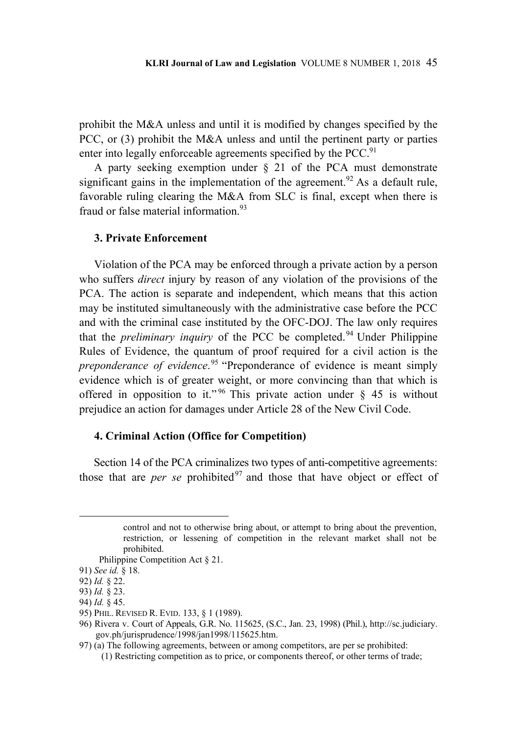prohibit the M&A unless and until it is modified by changes specified by the PCC, or (3) prohibit the M&A unless and until the pertinent party or parties enter into legally enforceable agreements specified by the PCC.<sup>91</sup>

A party seeking exemption under § 21 of the PCA must demonstrate significant gains in the implementation of the agreement.<sup>92</sup> As a default rule, favorable ruling clearing the M&A from SLC is final, except when there is fraud or false material information  $93$ 

### **3. Private Enforcement**

Violation of the PCA may be enforced through a private action by a person who suffers *direct* injury by reason of any violation of the provisions of the PCA. The action is separate and independent, which means that this action may be instituted simultaneously with the administrative case before the PCC and with the criminal case instituted by the OFC-DOJ. The law only requires that the *preliminary inquiry* of the PCC be completed.<sup>94</sup> Under Philippine Rules of Evidence, the quantum of proof required for a civil action is the *preponderance of evidence*. 95 "Preponderance of evidence is meant simply evidence which is of greater weight, or more convincing than that which is offered in opposition to it."<sup>96</sup> This private action under  $\S$  45 is without prejudice an action for damages under Article 28 of the New Civil Code.

### **4. Criminal Action (Office for Competition)**

Section 14 of the PCA criminalizes two types of anti-competitive agreements: those that are *per se* prohibited<sup>97</sup> and those that have object or effect of

control and not to otherwise bring about, or attempt to bring about the prevention, restriction, or lessening of competition in the relevant market shall not be prohibited.

Philippine Competition Act § 21.

<sup>91)</sup> *See id.* § 18.

<sup>92)</sup> *Id.* § 22.

<sup>93)</sup> *Id.* § 23.

<sup>94)</sup> *Id.* § 45.

<sup>95)</sup> PHIL. REVISED R. EVID. 133, § 1 (1989).

<sup>96)</sup> Rivera v. Court of Appeals, G.R. No. 115625, (S.C., Jan. 23, 1998) (Phil.), http://sc.judiciary. gov.ph/jurisprudence/1998/jan1998/115625.htm.

<sup>97) (</sup>a) The following agreements, between or among competitors, are per se prohibited: (1) Restricting competition as to price, or components thereof, or other terms of trade;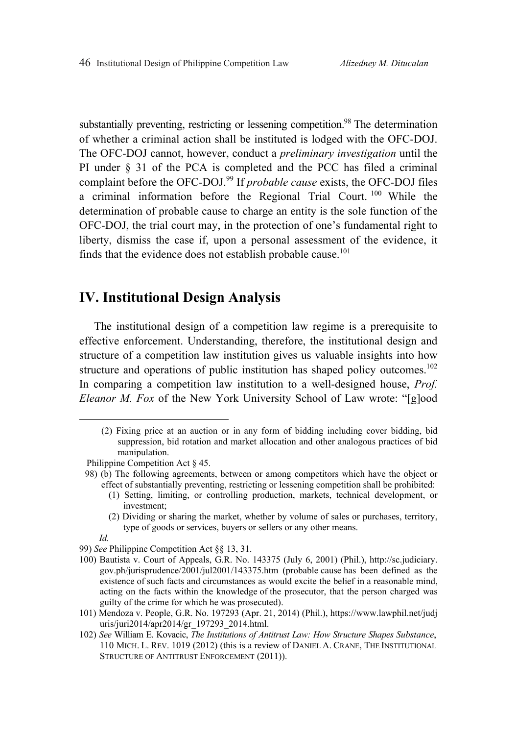substantially preventing, restricting or lessening competition.<sup>98</sup> The determination of whether a criminal action shall be instituted is lodged with the OFC-DOJ. The OFC-DOJ cannot, however, conduct a *preliminary investigation* until the PI under § 31 of the PCA is completed and the PCC has filed a criminal complaint before the OFC-DOJ.99 If *probable cause* exists, the OFC-DOJ files a criminal information before the Regional Trial Court. 100 While the determination of probable cause to charge an entity is the sole function of the OFC-DOJ, the trial court may, in the protection of one's fundamental right to liberty, dismiss the case if, upon a personal assessment of the evidence, it finds that the evidence does not establish probable cause.<sup>101</sup>

# **IV. Institutional Design Analysis**

The institutional design of a competition law regime is a prerequisite to effective enforcement. Understanding, therefore, the institutional design and structure of a competition law institution gives us valuable insights into how structure and operations of public institution has shaped policy outcomes.<sup>102</sup> In comparing a competition law institution to a well-designed house, *Prof. Eleanor M. Fox* of the New York University School of Law wrote: "[g]ood

- (1) Setting, limiting, or controlling production, markets, technical development, or investment;
- (2) Dividing or sharing the market, whether by volume of sales or purchases, territory, type of goods or services, buyers or sellers or any other means.

- 100) Bautista v. Court of Appeals, G.R. No. 143375 (July 6, 2001) (Phil.), http://sc.judiciary. gov.ph/jurisprudence/2001/jul2001/143375.htm (probable cause has been defined as the existence of such facts and circumstances as would excite the belief in a reasonable mind, acting on the facts within the knowledge of the prosecutor, that the person charged was guilty of the crime for which he was prosecuted).
- 101) Mendoza v. People, G.R. No. 197293 (Apr. 21, 2014) (Phil.), https://www.lawphil.net/judj uris/juri2014/apr2014/gr\_197293\_2014.html.
- 102) *See* William E. Kovacic, *The Institutions of Antitrust Law: How Structure Shapes Substance*, 110 MICH. L. REV. 1019 (2012) (this is a review of DANIEL A. CRANE, THE INSTITUTIONAL STRUCTURE OF ANTITRUST ENFORCEMENT (2011)).

 <sup>(2)</sup> Fixing price at an auction or in any form of bidding including cover bidding, bid suppression, bid rotation and market allocation and other analogous practices of bid manipulation.

Philippine Competition Act § 45.

<sup>98) (</sup>b) The following agreements, between or among competitors which have the object or effect of substantially preventing, restricting or lessening competition shall be prohibited:

*Id.*

<sup>99)</sup> *See* Philippine Competition Act §§ 13, 31.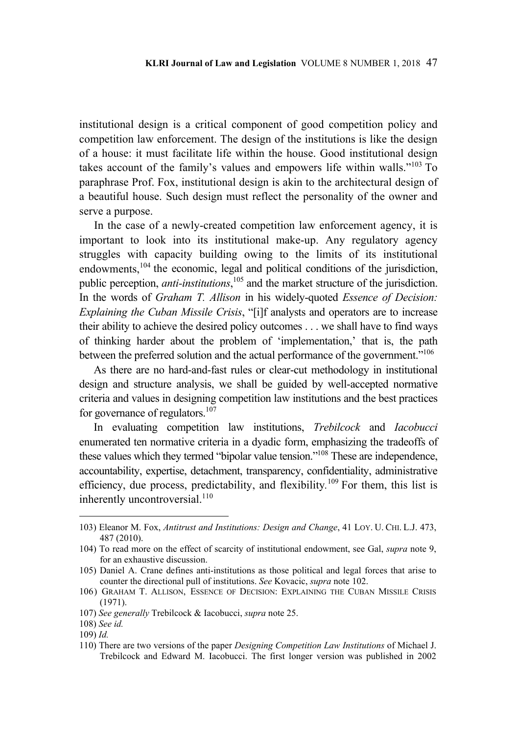institutional design is a critical component of good competition policy and competition law enforcement. The design of the institutions is like the design of a house: it must facilitate life within the house. Good institutional design takes account of the family's values and empowers life within walls."103 To paraphrase Prof. Fox, institutional design is akin to the architectural design of a beautiful house. Such design must reflect the personality of the owner and serve a purpose.

In the case of a newly-created competition law enforcement agency, it is important to look into its institutional make-up. Any regulatory agency struggles with capacity building owing to the limits of its institutional endowments,<sup>104</sup> the economic, legal and political conditions of the jurisdiction, public perception, *anti-institutions*, 105 and the market structure of the jurisdiction. In the words of *Graham T. Allison* in his widely-quoted *Essence of Decision: Explaining the Cuban Missile Crisis*, "[i]f analysts and operators are to increase their ability to achieve the desired policy outcomes . . . we shall have to find ways of thinking harder about the problem of 'implementation,' that is, the path between the preferred solution and the actual performance of the government."<sup>106</sup>

As there are no hard-and-fast rules or clear-cut methodology in institutional design and structure analysis, we shall be guided by well-accepted normative criteria and values in designing competition law institutions and the best practices for governance of regulators.<sup>107</sup>

In evaluating competition law institutions, *Trebilcock* and *Iacobucci* enumerated ten normative criteria in a dyadic form, emphasizing the tradeoffs of these values which they termed "bipolar value tension."108 These are independence, accountability, expertise, detachment, transparency, confidentiality, administrative efficiency, due process, predictability, and flexibility.<sup>109</sup> For them, this list is inherently uncontroversial. $110$ 

<sup>103)</sup> Eleanor M. Fox, *Antitrust and Institutions: Design and Change*, 41 LOY. U. CHI. L.J. 473, 487 (2010).

<sup>104)</sup> To read more on the effect of scarcity of institutional endowment, see Gal, *supra* note 9, for an exhaustive discussion.

<sup>105)</sup> Daniel A. Crane defines anti-institutions as those political and legal forces that arise to counter the directional pull of institutions. *See* Kovacic, *supra* note 102.

<sup>106)</sup> GRAHAM T. ALLISON, ESSENCE OF DECISION: EXPLAINING THE CUBAN MISSILE CRISIS (1971).

<sup>107)</sup> *See generally* Trebilcock & Iacobucci, *supra* note 25.

<sup>108)</sup> *See id.*

<sup>109)</sup> *Id.* 

<sup>110)</sup> There are two versions of the paper *Designing Competition Law Institutions* of Michael J. Trebilcock and Edward M. Iacobucci. The first longer version was published in 2002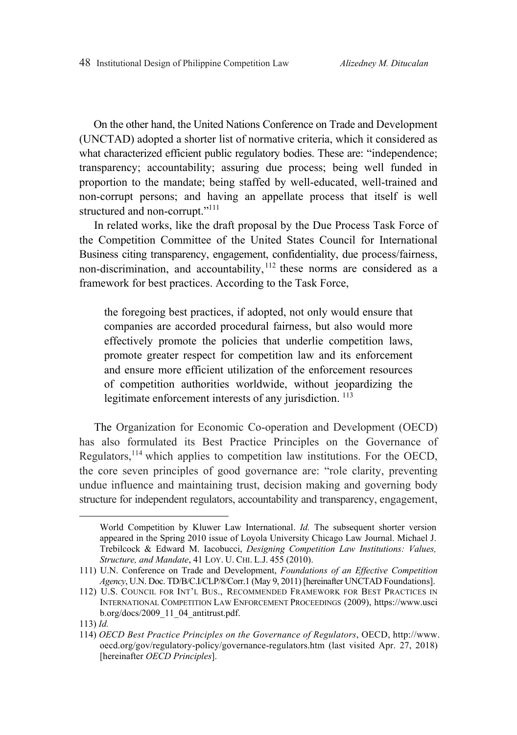On the other hand, the United Nations Conference on Trade and Development (UNCTAD) adopted a shorter list of normative criteria, which it considered as what characterized efficient public regulatory bodies. These are: "independence; transparency; accountability; assuring due process; being well funded in proportion to the mandate; being staffed by well-educated, well-trained and non-corrupt persons; and having an appellate process that itself is well structured and non-corrupt."<sup>111</sup>

In related works, like the draft proposal by the Due Process Task Force of the Competition Committee of the United States Council for International Business citing transparency, engagement, confidentiality, due process/fairness, non-discrimination, and accountability, <sup>112</sup> these norms are considered as a framework for best practices. According to the Task Force,

the foregoing best practices, if adopted, not only would ensure that companies are accorded procedural fairness, but also would more effectively promote the policies that underlie competition laws, promote greater respect for competition law and its enforcement and ensure more efficient utilization of the enforcement resources of competition authorities worldwide, without jeopardizing the legitimate enforcement interests of any jurisdiction.<sup>113</sup>

The Organization for Economic Co-operation and Development (OECD) has also formulated its Best Practice Principles on the Governance of Regulators,114 which applies to competition law institutions. For the OECD, the core seven principles of good governance are: "role clarity, preventing undue influence and maintaining trust, decision making and governing body structure for independent regulators, accountability and transparency, engagement,

World Competition by Kluwer Law International. *Id.* The subsequent shorter version appeared in the Spring 2010 issue of Loyola University Chicago Law Journal. Michael J. Trebilcock & Edward M. Iacobucci, *Designing Competition Law Institutions: Values, Structure, and Mandate*, 41 LOY. U. CHI. L.J. 455 (2010).

<sup>111)</sup> U.N. Conference on Trade and Development, *Foundations of an Effective Competition Agency*, U.N. Doc. TD/B/C.I/CLP/8/Corr.1 (May 9, 2011) [hereinafter UNCTAD Foundations].

<sup>112)</sup> U.S. COUNCIL FOR INT'L BUS., RECOMMENDED FRAMEWORK FOR BEST PRACTICES IN INTERNATIONAL COMPETITION LAW ENFORCEMENT PROCEEDINGS (2009), https://www.usci b.org/docs/2009\_11\_04\_antitrust.pdf.

<sup>113)</sup> *Id.*

<sup>114)</sup> *OECD Best Practice Principles on the Governance of Regulators*, OECD, http://www. oecd.org/gov/regulatory-policy/governance-regulators.htm (last visited Apr. 27, 2018) [hereinafter *OECD Principles*].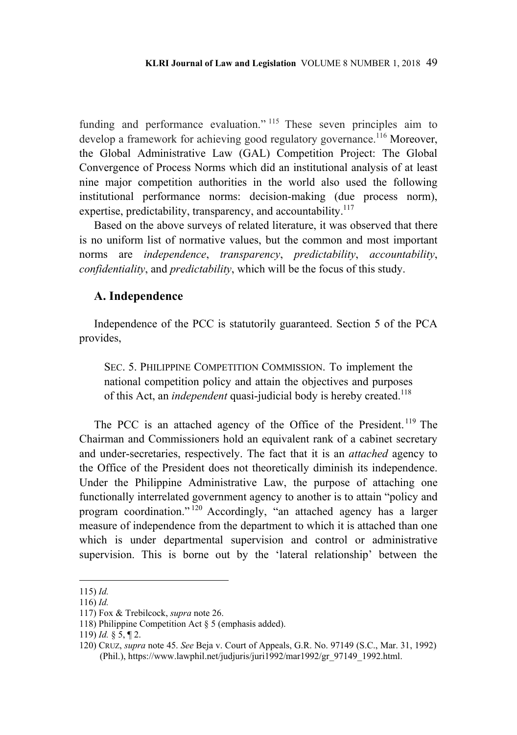funding and performance evaluation."<sup>115</sup> These seven principles aim to develop a framework for achieving good regulatory governance.<sup>116</sup> Moreover, the Global Administrative Law (GAL) Competition Project: The Global Convergence of Process Norms which did an institutional analysis of at least nine major competition authorities in the world also used the following institutional performance norms: decision-making (due process norm), expertise, predictability, transparency, and accountability.<sup>117</sup>

Based on the above surveys of related literature, it was observed that there is no uniform list of normative values, but the common and most important norms are *independence*, *transparency*, *predictability*, *accountability*, *confidentiality*, and *predictability*, which will be the focus of this study.

### **A. Independence**

Independence of the PCC is statutorily guaranteed. Section 5 of the PCA provides,

SEC. 5. PHILIPPINE COMPETITION COMMISSION. To implement the national competition policy and attain the objectives and purposes of this Act, an *independent* quasi-judicial body is hereby created.<sup>118</sup>

The PCC is an attached agency of the Office of the President. 119 The Chairman and Commissioners hold an equivalent rank of a cabinet secretary and under-secretaries, respectively. The fact that it is an *attached* agency to the Office of the President does not theoretically diminish its independence. Under the Philippine Administrative Law, the purpose of attaching one functionally interrelated government agency to another is to attain "policy and program coordination." 120 Accordingly, "an attached agency has a larger measure of independence from the department to which it is attached than one which is under departmental supervision and control or administrative supervision. This is borne out by the 'lateral relationship' between the

<sup>115)</sup> *Id.*

<sup>116)</sup> *Id.*

<sup>117)</sup> Fox & Trebilcock, *supra* note 26.

<sup>118)</sup> Philippine Competition Act § 5 (emphasis added).

<sup>119)</sup> *Id.* § 5, ¶ 2.

<sup>120)</sup> CRUZ, *supra* note 45. *See* Beja v. Court of Appeals, G.R. No. 97149 (S.C., Mar. 31, 1992) (Phil.), https://www.lawphil.net/judjuris/juri1992/mar1992/gr\_97149\_1992.html.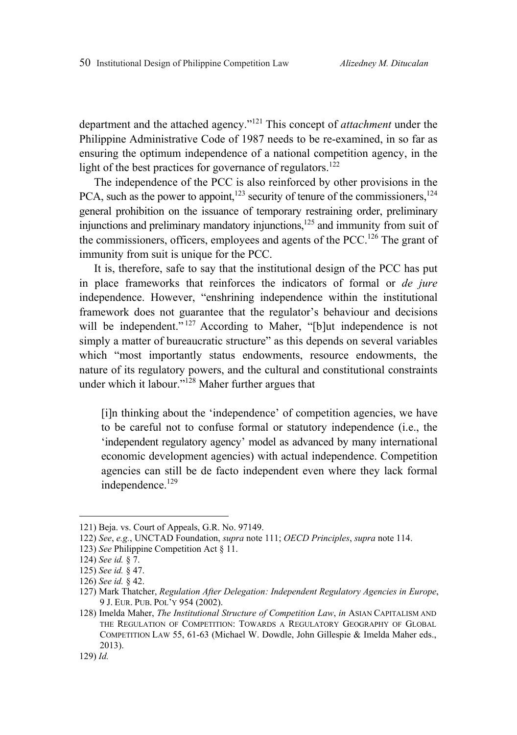department and the attached agency."121 This concept of *attachment* under the Philippine Administrative Code of 1987 needs to be re-examined, in so far as ensuring the optimum independence of a national competition agency, in the light of the best practices for governance of regulators.<sup>122</sup>

The independence of the PCC is also reinforced by other provisions in the PCA, such as the power to appoint,<sup>123</sup> security of tenure of the commissioners,<sup>124</sup> general prohibition on the issuance of temporary restraining order, preliminary injunctions and preliminary mandatory injunctions, $125$  and immunity from suit of the commissioners, officers, employees and agents of the PCC.<sup>126</sup> The grant of immunity from suit is unique for the PCC.

It is, therefore, safe to say that the institutional design of the PCC has put in place frameworks that reinforces the indicators of formal or *de jure* independence. However, "enshrining independence within the institutional framework does not guarantee that the regulator's behaviour and decisions will be independent."<sup>127</sup> According to Maher, "[b]ut independence is not simply a matter of bureaucratic structure" as this depends on several variables which "most importantly status endowments, resource endowments, the nature of its regulatory powers, and the cultural and constitutional constraints under which it labour." $128$  Maher further argues that

[i]n thinking about the 'independence' of competition agencies, we have to be careful not to confuse formal or statutory independence (i.e., the 'independent regulatory agency' model as advanced by many international economic development agencies) with actual independence. Competition agencies can still be de facto independent even where they lack formal independence.<sup>129</sup>

<sup>121)</sup> Beja. vs. Court of Appeals, G.R. No. 97149.

<sup>122)</sup> *See*, *e.g.*, UNCTAD Foundation, *supra* note 111; *OECD Principles*, *supra* note 114.

<sup>123)</sup> *See* Philippine Competition Act § 11.

<sup>124)</sup> *See id.* § 7.

<sup>125)</sup> *See id.* § 47.

<sup>126)</sup> *See id.* § 42.

<sup>127)</sup> Mark Thatcher, *Regulation After Delegation: Independent Regulatory Agencies in Europe*, 9 J. EUR. PUB. POL'Y 954 (2002).

<sup>128)</sup> Imelda Maher, *The Institutional Structure of Competition Law*, *in* ASIAN CAPITALISM AND THE REGULATION OF COMPETITION: TOWARDS A REGULATORY GEOGRAPHY OF GLOBAL COMPETITION LAW 55, 61-63 (Michael W. Dowdle, John Gillespie & Imelda Maher eds., 2013).

<sup>129)</sup> *Id.*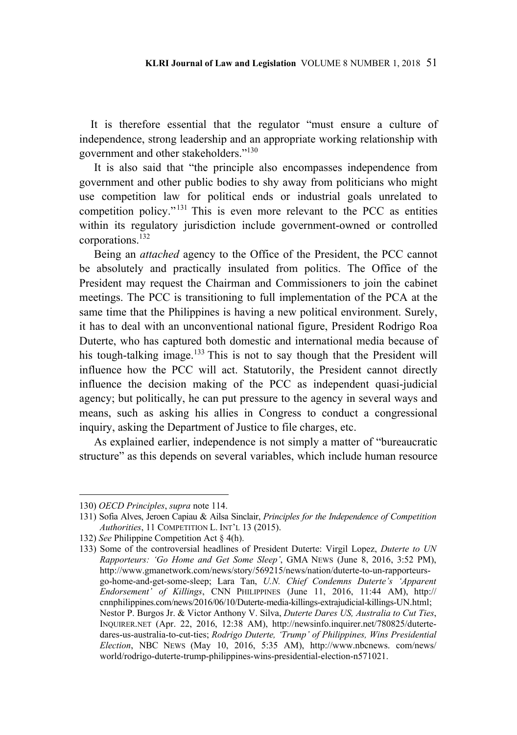It is therefore essential that the regulator "must ensure a culture of independence, strong leadership and an appropriate working relationship with government and other stakeholders."130

It is also said that "the principle also encompasses independence from government and other public bodies to shy away from politicians who might use competition law for political ends or industrial goals unrelated to competition policy."131 This is even more relevant to the PCC as entities within its regulatory jurisdiction include government-owned or controlled corporations.132

Being an *attached* agency to the Office of the President, the PCC cannot be absolutely and practically insulated from politics. The Office of the President may request the Chairman and Commissioners to join the cabinet meetings. The PCC is transitioning to full implementation of the PCA at the same time that the Philippines is having a new political environment. Surely, it has to deal with an unconventional national figure, President Rodrigo Roa Duterte, who has captured both domestic and international media because of his tough-talking image.<sup>133</sup> This is not to say though that the President will influence how the PCC will act. Statutorily, the President cannot directly influence the decision making of the PCC as independent quasi-judicial agency; but politically, he can put pressure to the agency in several ways and means, such as asking his allies in Congress to conduct a congressional inquiry, asking the Department of Justice to file charges, etc.

As explained earlier, independence is not simply a matter of "bureaucratic structure" as this depends on several variables, which include human resource

<sup>130)</sup> *OECD Principles*, *supra* note 114.

<sup>131)</sup> Sofia Alves, Jeroen Capiau & Ailsa Sinclair, *Principles for the Independence of Competition Authorities*, 11 COMPETITION L. INT'L 13 (2015).

<sup>132)</sup> *See* Philippine Competition Act § 4(h).

<sup>133)</sup> Some of the controversial headlines of President Duterte: Virgil Lopez, *Duterte to UN Rapporteurs: 'Go Home and Get Some Sleep'*, GMA NEWS (June 8, 2016, 3:52 PM), http://www.gmanetwork.com/news/story/569215/news/nation/duterte-to-un-rapporteursgo-home-and-get-some-sleep; Lara Tan, *U.N. Chief Condemns Duterte's 'Apparent Endorsement' of Killings*, CNN PHILIPPINES (June 11, 2016, 11:44 AM), http:// cnnphilippines.com/news/2016/06/10/Duterte-media-killings-extrajudicial-killings-UN.html; Nestor P. Burgos Jr. & Victor Anthony V. Silva, *Duterte Dares US, Australia to Cut Ties*, INQUIRER.NET (Apr. 22, 2016, 12:38 AM), http://newsinfo.inquirer.net/780825/dutertedares-us-australia-to-cut-ties; *Rodrigo Duterte, 'Trump' of Philippines, Wins Presidential Election*, NBC NEWS (May 10, 2016, 5:35 AM), http://www.nbcnews. com/news/ world/rodrigo-duterte-trump-philippines-wins-presidential-election-n571021.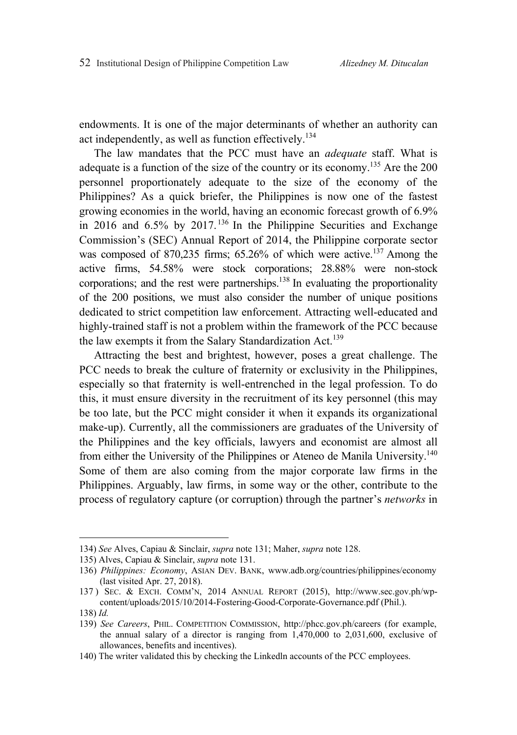endowments. It is one of the major determinants of whether an authority can act independently, as well as function effectively.<sup>134</sup>

The law mandates that the PCC must have an *adequate* staff. What is adequate is a function of the size of the country or its economy.<sup>135</sup> Are the 200 personnel proportionately adequate to the size of the economy of the Philippines? As a quick briefer, the Philippines is now one of the fastest growing economies in the world, having an economic forecast growth of 6.9% in 2016 and  $6.5\%$  by 2017.<sup>136</sup> In the Philippine Securities and Exchange Commission's (SEC) Annual Report of 2014, the Philippine corporate sector was composed of 870,235 firms; 65.26% of which were active.<sup>137</sup> Among the active firms, 54.58% were stock corporations; 28.88% were non-stock corporations; and the rest were partnerships.<sup>138</sup> In evaluating the proportionality of the 200 positions, we must also consider the number of unique positions dedicated to strict competition law enforcement. Attracting well-educated and highly-trained staff is not a problem within the framework of the PCC because the law exempts it from the Salary Standardization Act.<sup>139</sup>

Attracting the best and brightest, however, poses a great challenge. The PCC needs to break the culture of fraternity or exclusivity in the Philippines, especially so that fraternity is well-entrenched in the legal profession. To do this, it must ensure diversity in the recruitment of its key personnel (this may be too late, but the PCC might consider it when it expands its organizational make-up). Currently, all the commissioners are graduates of the University of the Philippines and the key officials, lawyers and economist are almost all from either the University of the Philippines or Ateneo de Manila University.<sup>140</sup> Some of them are also coming from the major corporate law firms in the Philippines. Arguably, law firms, in some way or the other, contribute to the process of regulatory capture (or corruption) through the partner's *networks* in

<sup>134)</sup> *See* Alves, Capiau & Sinclair, *supra* note 131; Maher, *supra* note 128.

<sup>135)</sup> Alves, Capiau & Sinclair, *supra* note 131.

<sup>136)</sup> *Philippines: Economy*, ASIAN DEV. BANK, www.adb.org/countries/philippines/economy (last visited Apr. 27, 2018).

<sup>137 )</sup> SEC. & EXCH. COMM'N, 2014 ANNUAL REPORT (2015), http://www.sec.gov.ph/wpcontent/uploads/2015/10/2014-Fostering-Good-Corporate-Governance.pdf (Phil.).

<sup>138)</sup> *Id.*

<sup>139)</sup> *See Careers*, PHIL. COMPETITION COMMISSION, http://phcc.gov.ph/careers (for example, the annual salary of a director is ranging from 1,470,000 to 2,031,600, exclusive of allowances, benefits and incentives).

<sup>140)</sup> The writer validated this by checking the Linkedln accounts of the PCC employees.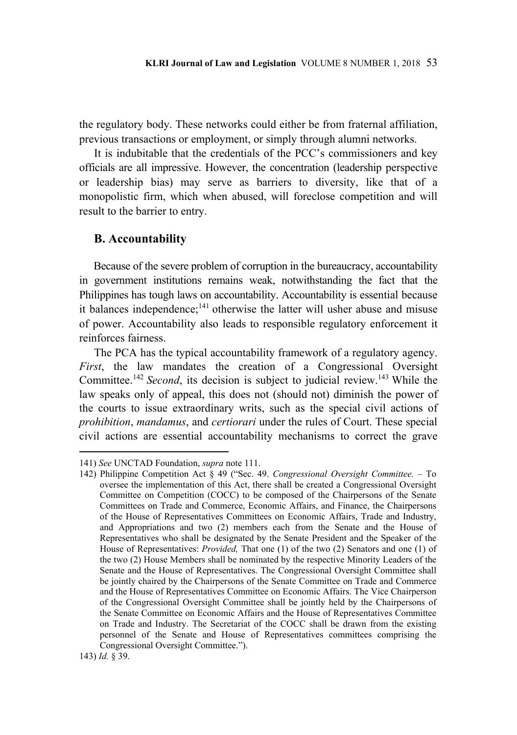the regulatory body. These networks could either be from fraternal affiliation, previous transactions or employment, or simply through alumni networks.

It is indubitable that the credentials of the PCC's commissioners and key officials are all impressive. However, the concentration (leadership perspective or leadership bias) may serve as barriers to diversity, like that of a monopolistic firm, which when abused, will foreclose competition and will result to the barrier to entry.

### **B. Accountability**

Because of the severe problem of corruption in the bureaucracy, accountability in government institutions remains weak, notwithstanding the fact that the Philippines has tough laws on accountability. Accountability is essential because it balances independence;<sup>141</sup> otherwise the latter will usher abuse and misuse of power. Accountability also leads to responsible regulatory enforcement it reinforces fairness.

The PCA has the typical accountability framework of a regulatory agency. *First*, the law mandates the creation of a Congressional Oversight Committee.<sup>142</sup> *Second*, its decision is subject to judicial review.<sup>143</sup> While the law speaks only of appeal, this does not (should not) diminish the power of the courts to issue extraordinary writs, such as the special civil actions of *prohibition*, *mandamus*, and *certiorari* under the rules of Court. These special civil actions are essential accountability mechanisms to correct the grave

<sup>141)</sup> *See* UNCTAD Foundation, *supra* note 111.

<sup>142)</sup> Philippine Competition Act § 49 ("Sec. 49. *Congressional Oversight Committee.* – To oversee the implementation of this Act, there shall be created a Congressional Oversight Committee on Competition (COCC) to be composed of the Chairpersons of the Senate Committees on Trade and Commerce, Economic Affairs, and Finance, the Chairpersons of the House of Representatives Committees on Economic Affairs, Trade and Industry, and Appropriations and two (2) members each from the Senate and the House of Representatives who shall be designated by the Senate President and the Speaker of the House of Representatives: *Provided,* That one (1) of the two (2) Senators and one (1) of the two (2) House Members shall be nominated by the respective Minority Leaders of the Senate and the House of Representatives. The Congressional Oversight Committee shall be jointly chaired by the Chairpersons of the Senate Committee on Trade and Commerce and the House of Representatives Committee on Economic Affairs. The Vice Chairperson of the Congressional Oversight Committee shall be jointly held by the Chairpersons of the Senate Committee on Economic Affairs and the House of Representatives Committee on Trade and Industry. The Secretariat of the COCC shall be drawn from the existing personnel of the Senate and House of Representatives committees comprising the Congressional Oversight Committee.").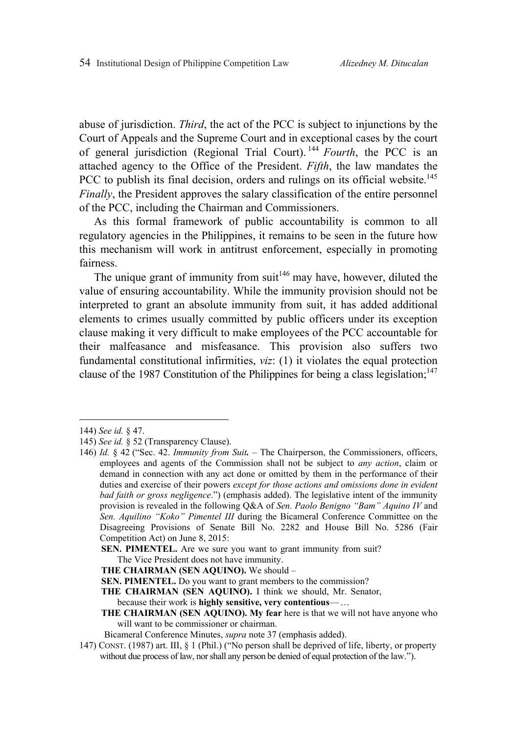abuse of jurisdiction. *Third*, the act of the PCC is subject to injunctions by the Court of Appeals and the Supreme Court and in exceptional cases by the court of general jurisdiction (Regional Trial Court). <sup>144</sup> *Fourth*, the PCC is an attached agency to the Office of the President. *Fifth*, the law mandates the PCC to publish its final decision, orders and rulings on its official website.<sup>145</sup> *Finally*, the President approves the salary classification of the entire personnel of the PCC, including the Chairman and Commissioners.

As this formal framework of public accountability is common to all regulatory agencies in the Philippines, it remains to be seen in the future how this mechanism will work in antitrust enforcement, especially in promoting fairness.

The unique grant of immunity from suit<sup>146</sup> may have, however, diluted the value of ensuring accountability. While the immunity provision should not be interpreted to grant an absolute immunity from suit, it has added additional elements to crimes usually committed by public officers under its exception clause making it very difficult to make employees of the PCC accountable for their malfeasance and misfeasance. This provision also suffers two fundamental constitutional infirmities, *viz*: (1) it violates the equal protection clause of the 1987 Constitution of the Philippines for being a class legislation;<sup>147</sup>

 $\overline{a}$ 

**THE CHAIRMAN (SEN AQUINO).** We should – **SEN. PIMENTEL.** Do you want to grant members to the commission?

because their work is **highly sensitive, very contentious**— …

<sup>144)</sup> *See id.* § 47.

<sup>145)</sup> *See id.* § 52 (Transparency Clause).

<sup>146)</sup> *Id.* § 42 ("Sec. 42. *Immunity from Suit. –* The Chairperson, the Commissioners, officers, employees and agents of the Commission shall not be subject to *any action*, claim or demand in connection with any act done or omitted by them in the performance of their duties and exercise of their powers *except for those actions and omissions done in evident bad faith or gross negligence*.") (emphasis added). The legislative intent of the immunity provision is revealed in the following Q&A of *Sen. Paolo Benigno "Bam" Aquino IV* and *Sen. Aquilino "Koko" Pimentel III* during the Bicameral Conference Committee on the Disagreeing Provisions of Senate Bill No. 2282 and House Bill No. 5286 (Fair Competition Act) on June 8, 2015:

**SEN. PIMENTEL.** Are we sure you want to grant immunity from suit?

The Vice President does not have immunity.

**THE CHAIRMAN (SEN AQUINO).** I think we should, Mr. Senator,

**THE CHAIRMAN (SEN AQUINO). My fear** here is that we will not have anyone who will want to be commissioner or chairman.

Bicameral Conference Minutes, *supra* note 37 (emphasis added).

<sup>147)</sup> CONST. (1987) art. III, § 1 (Phil.) ("No person shall be deprived of life, liberty, or property without due process of law, nor shall any person be denied of equal protection of the law.").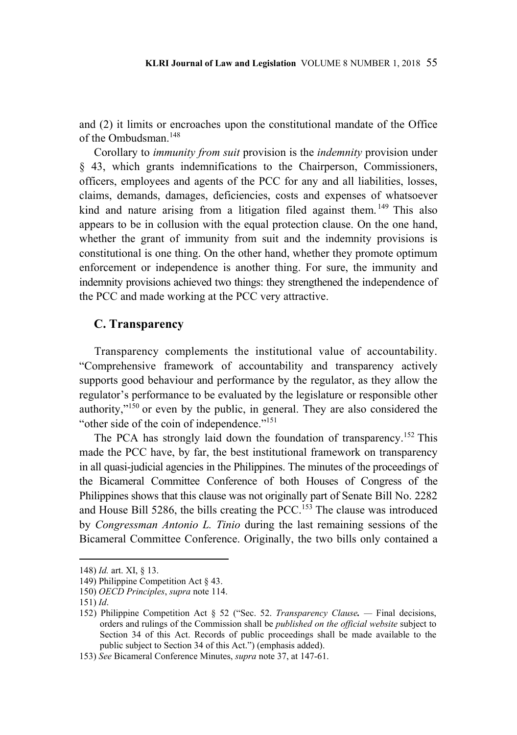and (2) it limits or encroaches upon the constitutional mandate of the Office of the Ombudsman<sup>148</sup>

Corollary to *immunity from suit* provision is the *indemnity* provision under § 43, which grants indemnifications to the Chairperson, Commissioners, officers, employees and agents of the PCC for any and all liabilities, losses, claims, demands, damages, deficiencies, costs and expenses of whatsoever kind and nature arising from a litigation filed against them.<sup>149</sup> This also appears to be in collusion with the equal protection clause. On the one hand, whether the grant of immunity from suit and the indemnity provisions is constitutional is one thing. On the other hand, whether they promote optimum enforcement or independence is another thing. For sure, the immunity and indemnity provisions achieved two things: they strengthened the independence of the PCC and made working at the PCC very attractive.

### **C. Transparency**

Transparency complements the institutional value of accountability. "Comprehensive framework of accountability and transparency actively supports good behaviour and performance by the regulator, as they allow the regulator's performance to be evaluated by the legislature or responsible other authority,"150 or even by the public, in general. They are also considered the "other side of the coin of independence."151

The PCA has strongly laid down the foundation of transparency.<sup>152</sup> This made the PCC have, by far, the best institutional framework on transparency in all quasi-judicial agencies in the Philippines. The minutes of the proceedings of the Bicameral Committee Conference of both Houses of Congress of the Philippines shows that this clause was not originally part of Senate Bill No. 2282 and House Bill 5286, the bills creating the PCC.<sup>153</sup> The clause was introduced by *Congressman Antonio L. Tinio* during the last remaining sessions of the Bicameral Committee Conference. Originally, the two bills only contained a

<sup>148)</sup> *Id.* art. XI, § 13.

<sup>149)</sup> Philippine Competition Act § 43.

<sup>150)</sup> *OECD Principles*, *supra* note 114.

<sup>151)</sup> *Id*.

<sup>152)</sup> Philippine Competition Act § 52 ("Sec. 52. *Transparency Clause. —* Final decisions, orders and rulings of the Commission shall be *published on the official website* subject to Section 34 of this Act. Records of public proceedings shall be made available to the public subject to Section 34 of this Act.") (emphasis added).

<sup>153)</sup> *See* Bicameral Conference Minutes, *supra* note 37, at 147-61.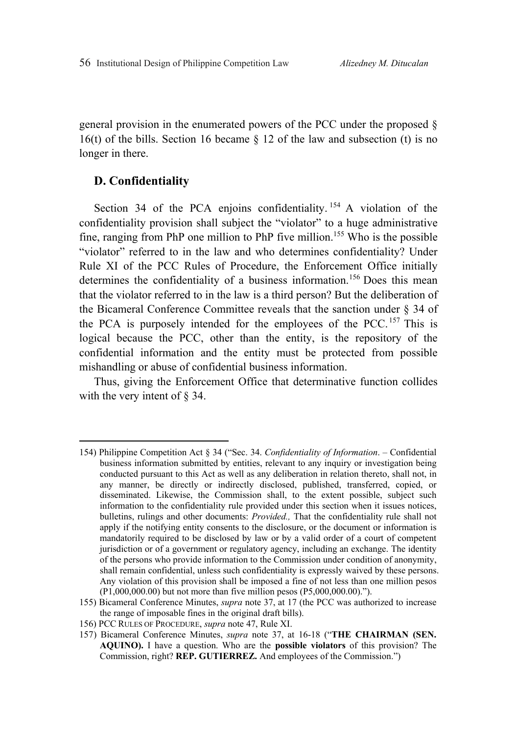general provision in the enumerated powers of the PCC under the proposed § 16(t) of the bills. Section 16 became  $\S$  12 of the law and subsection (t) is no longer in there.

## **D. Confidentiality**

 $\overline{a}$ 

Section 34 of the PCA enjoins confidentiality.<sup>154</sup> A violation of the confidentiality provision shall subject the "violator" to a huge administrative fine, ranging from PhP one million to PhP five million.<sup>155</sup> Who is the possible "violator" referred to in the law and who determines confidentiality? Under Rule XI of the PCC Rules of Procedure, the Enforcement Office initially determines the confidentiality of a business information.<sup>156</sup> Does this mean that the violator referred to in the law is a third person? But the deliberation of the Bicameral Conference Committee reveals that the sanction under § 34 of the PCA is purposely intended for the employees of the PCC. 157 This is logical because the PCC, other than the entity, is the repository of the confidential information and the entity must be protected from possible mishandling or abuse of confidential business information.

Thus, giving the Enforcement Office that determinative function collides with the very intent of  $\S$  34.

<sup>154)</sup> Philippine Competition Act § 34 ("Sec. 34. *Confidentiality of Information*. – Confidential business information submitted by entities, relevant to any inquiry or investigation being conducted pursuant to this Act as well as any deliberation in relation thereto, shall not, in any manner, be directly or indirectly disclosed, published, transferred, copied, or disseminated. Likewise, the Commission shall, to the extent possible, subject such information to the confidentiality rule provided under this section when it issues notices, bulletins, rulings and other documents: *Provided.,* That the confidentiality rule shall not apply if the notifying entity consents to the disclosure, or the document or information is mandatorily required to be disclosed by law or by a valid order of a court of competent jurisdiction or of a government or regulatory agency, including an exchange. The identity of the persons who provide information to the Commission under condition of anonymity, shall remain confidential, unless such confidentiality is expressly waived by these persons. Any violation of this provision shall be imposed a fine of not less than one million pesos (P1,000,000.00) but not more than five million pesos (P5,000,000.00).").

<sup>155)</sup> Bicameral Conference Minutes, *supra* note 37, at 17 (the PCC was authorized to increase the range of imposable fines in the original draft bills).

<sup>156)</sup> PCC RULES OF PROCEDURE, *supra* note 47, Rule XI.

<sup>157)</sup> Bicameral Conference Minutes, *supra* note 37, at 16-18 ("**THE CHAIRMAN (SEN. AQUINO).** I have a question. Who are the **possible violators** of this provision? The Commission, right? **REP. GUTIERREZ.** And employees of the Commission.")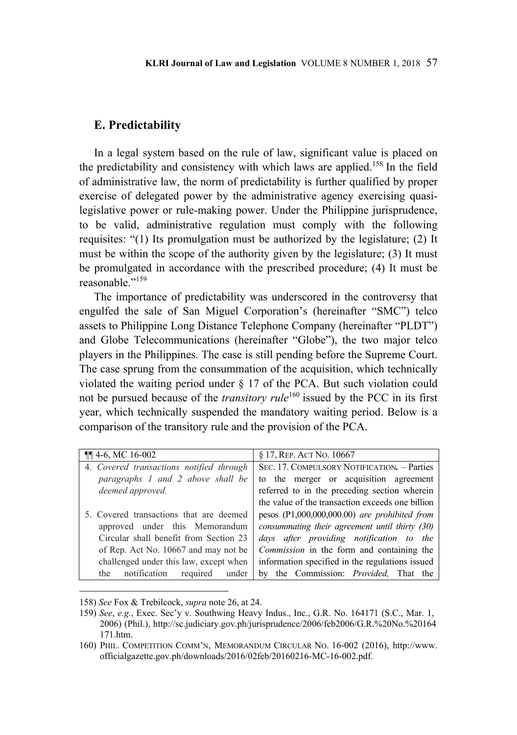### **E. Predictability**

In a legal system based on the rule of law, significant value is placed on the predictability and consistency with which laws are applied.158 In the field of administrative law, the norm of predictability is further qualified by proper exercise of delegated power by the administrative agency exercising quasilegislative power or rule-making power. Under the Philippine jurisprudence, to be valid, administrative regulation must comply with the following requisites: "(1) Its promulgation must be authorized by the legislature; (2) It must be within the scope of the authority given by the legislature; (3) It must be promulgated in accordance with the prescribed procedure; (4) It must be reasonable."159

The importance of predictability was underscored in the controversy that engulfed the sale of San Miguel Corporation's (hereinafter "SMC") telco assets to Philippine Long Distance Telephone Company (hereinafter "PLDT") and Globe Telecommunications (hereinafter "Globe"), the two major telco players in the Philippines. The case is still pending before the Supreme Court. The case sprung from the consummation of the acquisition, which technically violated the waiting period under § 17 of the PCA. But such violation could not be pursued because of the *transitory rule*<sup>160</sup> issued by the PCC in its first year, which technically suspended the mandatory waiting period. Below is a comparison of the transitory rule and the provision of the PCA.

| $\P\P$ 4-6, MC 16-002                    | § 17, REP. ACT NO. 10667                         |
|------------------------------------------|--------------------------------------------------|
| 4. Covered transactions notified through | SEC. 17. COMPULSORY NOTIFICATION. - Parties      |
| paragraphs 1 and 2 above shall be        | to the merger or acquisition agreement           |
| deemed approved.                         | referred to in the preceding section wherein     |
|                                          | the value of the transaction exceeds one billion |
| 5. Covered transactions that are deemed  | pesos $(P1,000,000,000,00)$ are prohibited from  |
| approved under this Memorandum           | consummating their agreement until thirty (30)   |
| Circular shall benefit from Section 23   | days after providing notification to the         |
| of Rep. Act No. 10667 and may not be     | <i>Commission</i> in the form and containing the |
| challenged under this law, except when   | information specified in the regulations issued  |
| the notification<br>required<br>under    | by the Commission: <i>Provided</i> , That the    |

<sup>158)</sup> *See* Fox & Trebilcock, *supra* note 26, at 24.

<sup>159)</sup> *See*, *e.g.*, Exec. Sec'y v. Southwing Heavy Indus., Inc., G.R. No. 164171 (S.C., Mar. 1, 2006) (Phil.), http://sc.judiciary.gov.ph/jurisprudence/2006/feb2006/G.R.%20No.%20164 171.htm.

<sup>160)</sup> PHIL. COMPETITION COMM'N, MEMORANDUM CIRCULAR NO. 16-002 (2016), http://www. officialgazette.gov.ph/downloads/2016/02feb/20160216-MC-16-002.pdf.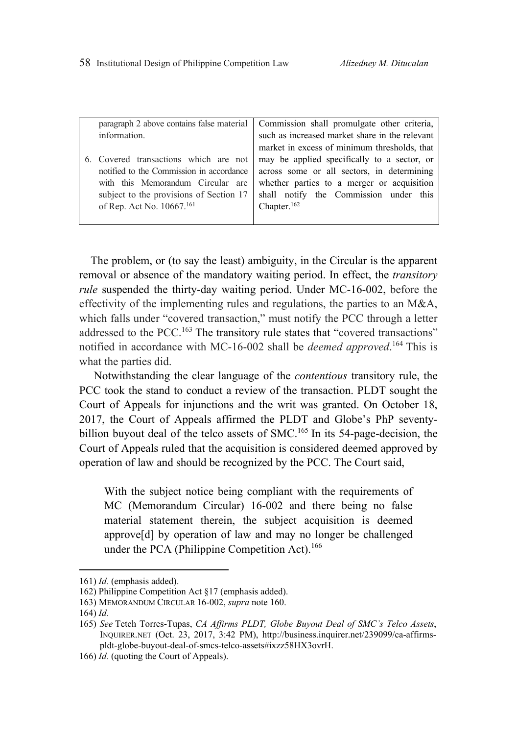| information.                                                                                                                                                                                               | paragraph 2 above contains false material Commission shall promulgate other criteria,<br>such as increased market share in the relevant                                                                      |
|------------------------------------------------------------------------------------------------------------------------------------------------------------------------------------------------------------|--------------------------------------------------------------------------------------------------------------------------------------------------------------------------------------------------------------|
|                                                                                                                                                                                                            | market in excess of minimum thresholds, that                                                                                                                                                                 |
| 6. Covered transactions which are not<br>notified to the Commission in accordance<br>with this Memorandum Circular are<br>subject to the provisions of Section 17<br>of Rep. Act No. 10667. <sup>161</sup> | may be applied specifically to a sector, or<br>across some or all sectors, in determining<br>whether parties to a merger or acquisition<br>shall notify the Commission under this<br>Chapter. <sup>162</sup> |
|                                                                                                                                                                                                            |                                                                                                                                                                                                              |

The problem, or (to say the least) ambiguity, in the Circular is the apparent removal or absence of the mandatory waiting period. In effect, the *transitory rule* suspended the thirty-day waiting period. Under MC-16-002, before the effectivity of the implementing rules and regulations, the parties to an M&A, which falls under "covered transaction," must notify the PCC through a letter addressed to the PCC.<sup>163</sup> The transitory rule states that "covered transactions" notified in accordance with MC-16-002 shall be *deemed approved*. 164 This is what the parties did.

Notwithstanding the clear language of the *contentious* transitory rule, the PCC took the stand to conduct a review of the transaction. PLDT sought the Court of Appeals for injunctions and the writ was granted. On October 18, 2017, the Court of Appeals affirmed the PLDT and Globe's PhP seventybillion buyout deal of the telco assets of SMC.<sup>165</sup> In its 54-page-decision, the Court of Appeals ruled that the acquisition is considered deemed approved by operation of law and should be recognized by the PCC. The Court said,

With the subject notice being compliant with the requirements of MC (Memorandum Circular) 16-002 and there being no false material statement therein, the subject acquisition is deemed approve[d] by operation of law and may no longer be challenged under the PCA (Philippine Competition Act).<sup>166</sup>

<sup>161)</sup> *Id.* (emphasis added).

<sup>162)</sup> Philippine Competition Act §17 (emphasis added).

<sup>163)</sup> MEMORANDUM CIRCULAR 16-002, *supra* note 160.

<sup>164)</sup> *Id.*

<sup>165)</sup> *See* Tetch Torres-Tupas, *CA Affirms PLDT, Globe Buyout Deal of SMC's Telco Assets*, INQUIRER.NET (Oct. 23, 2017, 3:42 PM), http://business.inquirer.net/239099/ca-affirmspldt-globe-buyout-deal-of-smcs-telco-assets#ixzz58HX3ovrH.

<sup>166)</sup> *Id.* (quoting the Court of Appeals).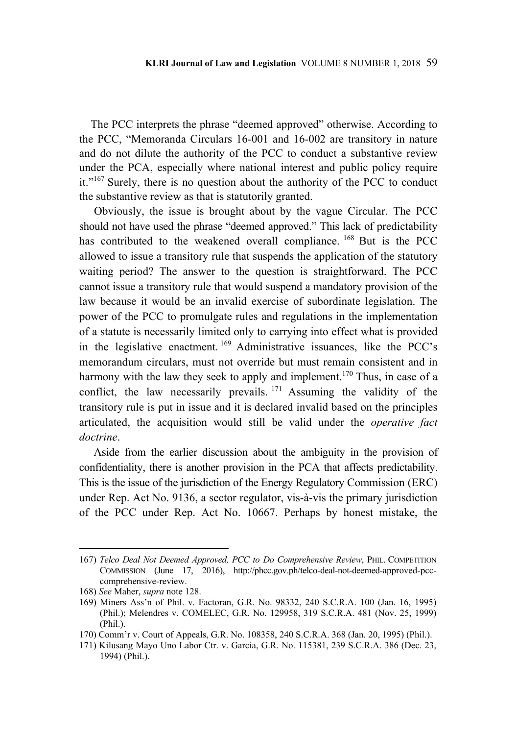The PCC interprets the phrase "deemed approved" otherwise. According to the PCC, "Memoranda Circulars 16-001 and 16-002 are transitory in nature and do not dilute the authority of the PCC to conduct a substantive review under the PCA, especially where national interest and public policy require it."<sup>167</sup> Surely, there is no question about the authority of the PCC to conduct the substantive review as that is statutorily granted.

Obviously, the issue is brought about by the vague Circular. The PCC should not have used the phrase "deemed approved." This lack of predictability has contributed to the weakened overall compliance. <sup>168</sup> But is the PCC allowed to issue a transitory rule that suspends the application of the statutory waiting period? The answer to the question is straightforward. The PCC cannot issue a transitory rule that would suspend a mandatory provision of the law because it would be an invalid exercise of subordinate legislation. The power of the PCC to promulgate rules and regulations in the implementation of a statute is necessarily limited only to carrying into effect what is provided in the legislative enactment. 169 Administrative issuances, like the PCC's memorandum circulars, must not override but must remain consistent and in harmony with the law they seek to apply and implement.<sup>170</sup> Thus, in case of a conflict, the law necessarily prevails.  $171$  Assuming the validity of the transitory rule is put in issue and it is declared invalid based on the principles articulated, the acquisition would still be valid under the *operative fact doctrine*.

Aside from the earlier discussion about the ambiguity in the provision of confidentiality, there is another provision in the PCA that affects predictability. This is the issue of the jurisdiction of the Energy Regulatory Commission (ERC) under Rep. Act No. 9136, a sector regulator, vis-à-vis the primary jurisdiction of the PCC under Rep. Act No. 10667. Perhaps by honest mistake, the

<sup>167)</sup> *Telco Deal Not Deemed Approved, PCC to Do Comprehensive Review*, PHIL. COMPETITION COMMISSION (June 17, 2016), http://phcc.gov.ph/telco-deal-not-deemed-approved-pcccomprehensive-review.

<sup>168)</sup> *See* Maher, *supra* note 128.

<sup>169)</sup> Miners Ass'n of Phil. v. Factoran, G.R. No. 98332, 240 S.C.R.A. 100 (Jan. 16, 1995) (Phil.); Melendres v. COMELEC, G.R. No. 129958, 319 S.C.R.A. 481 (Nov. 25, 1999) (Phil.).

<sup>170)</sup> Comm'r v. Court of Appeals, G.R. No. 108358, 240 S.C.R.A. 368 (Jan. 20, 1995) (Phil.).

<sup>171)</sup> Kilusang Mayo Uno Labor Ctr. v. Garcia, G.R. No. 115381, 239 S.C.R.A. 386 (Dec. 23, 1994) (Phil.).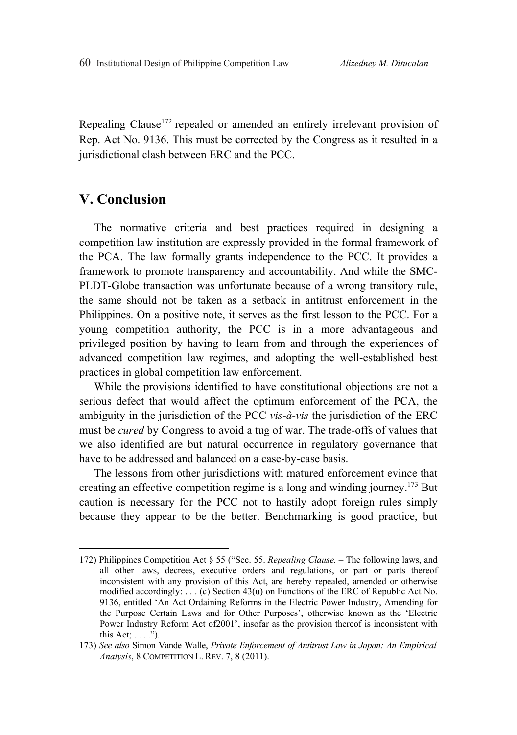Repealing Clause<sup>172</sup> repealed or amended an entirely irrelevant provision of Rep. Act No. 9136. This must be corrected by the Congress as it resulted in a jurisdictional clash between ERC and the PCC.

# **V. Conclusion**

 $\overline{a}$ 

The normative criteria and best practices required in designing a competition law institution are expressly provided in the formal framework of the PCA. The law formally grants independence to the PCC. It provides a framework to promote transparency and accountability. And while the SMC-PLDT-Globe transaction was unfortunate because of a wrong transitory rule, the same should not be taken as a setback in antitrust enforcement in the Philippines. On a positive note, it serves as the first lesson to the PCC. For a young competition authority, the PCC is in a more advantageous and privileged position by having to learn from and through the experiences of advanced competition law regimes, and adopting the well-established best practices in global competition law enforcement.

While the provisions identified to have constitutional objections are not a serious defect that would affect the optimum enforcement of the PCA, the ambiguity in the jurisdiction of the PCC *vis-à-vis* the jurisdiction of the ERC must be *cured* by Congress to avoid a tug of war. The trade-offs of values that we also identified are but natural occurrence in regulatory governance that have to be addressed and balanced on a case-by-case basis.

The lessons from other jurisdictions with matured enforcement evince that creating an effective competition regime is a long and winding journey.173 But caution is necessary for the PCC not to hastily adopt foreign rules simply because they appear to be the better. Benchmarking is good practice, but

<sup>172)</sup> Philippines Competition Act § 55 ("Sec. 55. *Repealing Clause.* – The following laws, and all other laws, decrees, executive orders and regulations, or part or parts thereof inconsistent with any provision of this Act, are hereby repealed, amended or otherwise modified accordingly: . . . (c) Section 43(u) on Functions of the ERC of Republic Act No. 9136, entitled 'An Act Ordaining Reforms in the Electric Power Industry, Amending for the Purpose Certain Laws and for Other Purposes', otherwise known as the 'Electric Power Industry Reform Act of2001', insofar as the provision thereof is inconsistent with this Act;  $\dots$ .").

<sup>173)</sup> *See also* Simon Vande Walle, *Private Enforcement of Antitrust Law in Japan: An Empirical Analysis*, 8 COMPETITION L. REV. 7, 8 (2011).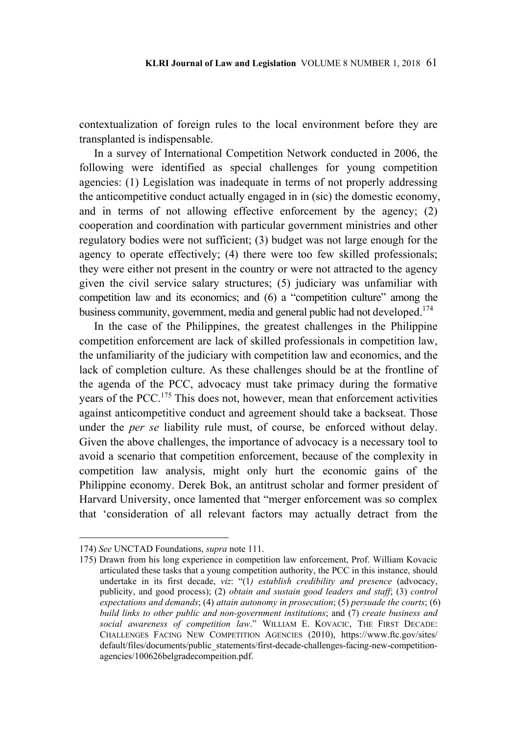contextualization of foreign rules to the local environment before they are transplanted is indispensable.

In a survey of International Competition Network conducted in 2006, the following were identified as special challenges for young competition agencies: (1) Legislation was inadequate in terms of not properly addressing the anticompetitive conduct actually engaged in in (sic) the domestic economy, and in terms of not allowing effective enforcement by the agency; (2) cooperation and coordination with particular government ministries and other regulatory bodies were not sufficient; (3) budget was not large enough for the agency to operate effectively; (4) there were too few skilled professionals; they were either not present in the country or were not attracted to the agency given the civil service salary structures; (5) judiciary was unfamiliar with competition law and its economics; and (6) a "competition culture" among the business community, government, media and general public had not developed.<sup>174</sup>

In the case of the Philippines, the greatest challenges in the Philippine competition enforcement are lack of skilled professionals in competition law, the unfamiliarity of the judiciary with competition law and economics, and the lack of completion culture. As these challenges should be at the frontline of the agenda of the PCC, advocacy must take primacy during the formative years of the PCC.175 This does not, however, mean that enforcement activities against anticompetitive conduct and agreement should take a backseat. Those under the *per se* liability rule must, of course, be enforced without delay. Given the above challenges, the importance of advocacy is a necessary tool to avoid a scenario that competition enforcement, because of the complexity in competition law analysis, might only hurt the economic gains of the Philippine economy. Derek Bok, an antitrust scholar and former president of Harvard University, once lamented that "merger enforcement was so complex that 'consideration of all relevant factors may actually detract from the

<sup>174)</sup> *See* UNCTAD Foundations, *supra* note 111.

<sup>175)</sup> Drawn from his long experience in competition law enforcement, Prof. William Kovacic articulated these tasks that a young competition authority, the PCC in this instance, should undertake in its first decade, *viz*: "(1*) establish credibility and presence* (advocacy, publicity, and good process); (2) *obtain and sustain good leaders and staff*; (3) *control expectations and demands*; (4) *attain autonomy in prosecution*; (5) *persuade the courts*; (6) *build links to other public and non-government institutions*; and (7) *create business and social awareness of competition law*." WILLIAM E. KOVACIC, THE FIRST DECADE: CHALLENGES FACING NEW COMPETITION AGENCIES (2010), https://www.ftc.gov/sites/ default/files/documents/public\_statements/first-decade-challenges-facing-new-competitionagencies/100626belgradecompeition.pdf.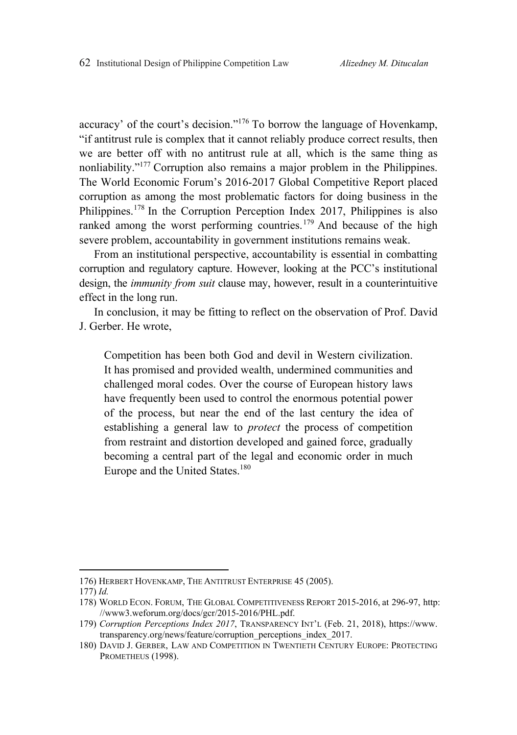accuracy' of the court's decision."176 To borrow the language of Hovenkamp, "if antitrust rule is complex that it cannot reliably produce correct results, then we are better off with no antitrust rule at all, which is the same thing as nonliability."177 Corruption also remains a major problem in the Philippines. The World Economic Forum's 2016-2017 Global Competitive Report placed corruption as among the most problematic factors for doing business in the Philippines.<sup>178</sup> In the Corruption Perception Index 2017, Philippines is also ranked among the worst performing countries.<sup>179</sup> And because of the high severe problem, accountability in government institutions remains weak.

From an institutional perspective, accountability is essential in combatting corruption and regulatory capture. However, looking at the PCC's institutional design, the *immunity from suit* clause may, however, result in a counterintuitive effect in the long run.

In conclusion, it may be fitting to reflect on the observation of Prof. David J. Gerber. He wrote,

Competition has been both God and devil in Western civilization. It has promised and provided wealth, undermined communities and challenged moral codes. Over the course of European history laws have frequently been used to control the enormous potential power of the process, but near the end of the last century the idea of establishing a general law to *protect* the process of competition from restraint and distortion developed and gained force, gradually becoming a central part of the legal and economic order in much Europe and the United States.<sup>180</sup>

<sup>176)</sup> HERBERT HOVENKAMP, THE ANTITRUST ENTERPRISE 45 (2005).

<sup>177)</sup> *Id.*

<sup>178)</sup> WORLD ECON. FORUM, THE GLOBAL COMPETITIVENESS REPORT 2015-2016, at 296-97, http: //www3.weforum.org/docs/gcr/2015-2016/PHL.pdf.

<sup>179)</sup> *Corruption Perceptions Index 2017*, TRANSPARENCY INT'L (Feb. 21, 2018), https://www. transparency.org/news/feature/corruption perceptions index 2017.

<sup>180)</sup> DAVID J. GERBER, LAW AND COMPETITION IN TWENTIETH CENTURY EUROPE: PROTECTING PROMETHEUS (1998).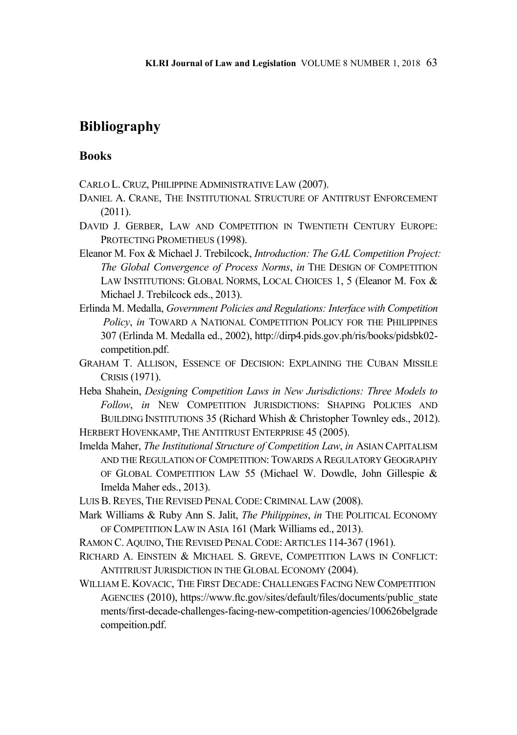# **Bibliography**

# **Books**

- CARLO L.CRUZ, PHILIPPINE ADMINISTRATIVE LAW (2007).
- DANIEL A. CRANE, THE INSTITUTIONAL STRUCTURE OF ANTITRUST ENFORCEMENT (2011).
- DAVID J. GERBER, LAW AND COMPETITION IN TWENTIETH CENTURY EUROPE: PROTECTING PROMETHEUS (1998).
- Eleanor M. Fox & Michael J. Trebilcock, *Introduction: The GAL Competition Project: The Global Convergence of Process Norms*, *in* THE DESIGN OF COMPETITION LAW INSTITUTIONS: GLOBAL NORMS, LOCAL CHOICES 1, 5 (Eleanor M. Fox & Michael J. Trebilcock eds., 2013).
- Erlinda M. Medalla, *Government Policies and Regulations: Interface with Competition Policy*, *in* TOWARD A NATIONAL COMPETITION POLICY FOR THE PHILIPPINES 307 (Erlinda M. Medalla ed., 2002), http://dirp4.pids.gov.ph/ris/books/pidsbk02 competition.pdf.
- GRAHAM T. ALLISON, ESSENCE OF DECISION: EXPLAINING THE CUBAN MISSILE CRISIS (1971).
- Heba Shahein, *Designing Competition Laws in New Jurisdictions: Three Models to Follow*, *in* NEW COMPETITION JURISDICTIONS: SHAPING POLICIES AND BUILDING INSTITUTIONS 35 (Richard Whish & Christopher Townley eds., 2012). HERBERT HOVENKAMP, THE ANTITRUST ENTERPRISE 45 (2005).
- Imelda Maher, *The Institutional Structure of Competition Law*, *in* ASIAN CAPITALISM AND THE REGULATION OF COMPETITION: TOWARDS A REGULATORY GEOGRAPHY OF GLOBAL COMPETITION LAW 55 (Michael W. Dowdle, John Gillespie & Imelda Maher eds., 2013).
- LUIS B. REYES, THE REVISED PENAL CODE: CRIMINAL LAW (2008).
- Mark Williams & Ruby Ann S. Jalit, *The Philippines*, *in* THE POLITICAL ECONOMY OF COMPETITION LAW IN ASIA 161 (Mark Williams ed., 2013).
- RAMON C. AQUINO, THE REVISED PENAL CODE: ARTICLES 114-367 (1961).
- RICHARD A. EINSTEIN & MICHAEL S. GREVE, COMPETITION LAWS IN CONFLICT: ANTITRIUST JURISDICTION IN THE GLOBAL ECONOMY (2004).
- WILLIAM E. KOVACIC, THE FIRST DECADE: CHALLENGES FACING NEW COMPETITION AGENCIES (2010), https://www.ftc.gov/sites/default/files/documents/public\_state ments/first-decade-challenges-facing-new-competition-agencies/100626belgrade compeition.pdf.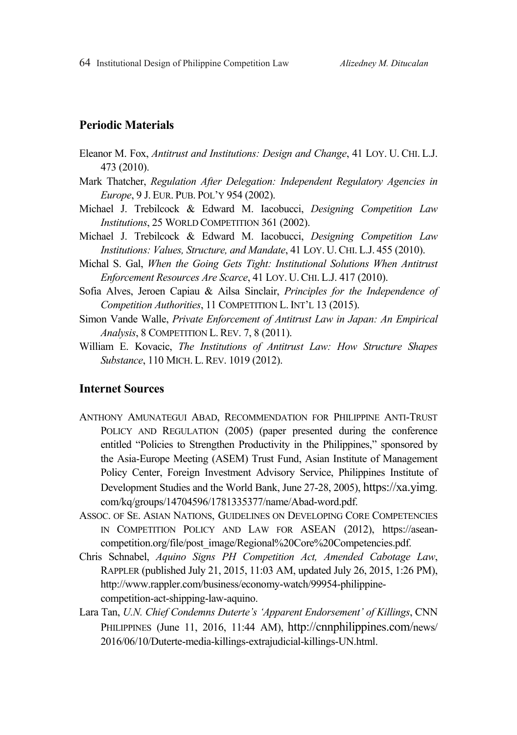# **Periodic Materials**

- Eleanor M. Fox, *Antitrust and Institutions: Design and Change*, 41 LOY. U. CHI. L.J. 473 (2010).
- Mark Thatcher, *Regulation After Delegation: Independent Regulatory Agencies in Europe*, 9 J. EUR. PUB. POL'Y 954 (2002).
- Michael J. Trebilcock & Edward M. Iacobucci, *Designing Competition Law Institutions*, 25 WORLD COMPETITION 361 (2002).
- Michael J. Trebilcock & Edward M. Iacobucci, *Designing Competition Law Institutions: Values, Structure, and Mandate*, 41 LOY. U.CHI. L.J. 455 (2010).
- Michal S. Gal, *When the Going Gets Tight: Institutional Solutions When Antitrust Enforcement Resources Are Scarce*, 41 LOY. U.CHI. L.J. 417 (2010).
- Sofia Alves, Jeroen Capiau & Ailsa Sinclair, *Principles for the Independence of Competition Authorities*, 11 COMPETITION L. INT'L 13 (2015).
- Simon Vande Walle, *Private Enforcement of Antitrust Law in Japan: An Empirical Analysis*, 8 COMPETITION L.REV. 7, 8 (2011).
- William E. Kovacic, *The Institutions of Antitrust Law: How Structure Shapes Substance*, 110 MICH. L. REV. 1019 (2012).

# **Internet Sources**

- ANTHONY AMUNATEGUI ABAD, RECOMMENDATION FOR PHILIPPINE ANTI-TRUST POLICY AND REGULATION (2005) (paper presented during the conference entitled "Policies to Strengthen Productivity in the Philippines," sponsored by the Asia-Europe Meeting (ASEM) Trust Fund, Asian Institute of Management Policy Center, Foreign Investment Advisory Service, Philippines Institute of Development Studies and the World Bank, June 27-28, 2005), https://xa.yimg. com/kq/groups/14704596/1781335377/name/Abad-word.pdf.
- ASSOC. OF SE. ASIAN NATIONS, GUIDELINES ON DEVELOPING CORE COMPETENCIES IN COMPETITION POLICY AND LAW FOR ASEAN (2012), https://aseancompetition.org/file/post\_image/Regional%20Core%20Competencies.pdf.
- Chris Schnabel, *Aquino Signs PH Competition Act, Amended Cabotage Law*, RAPPLER (published July 21, 2015, 11:03 AM, updated July 26, 2015, 1:26 PM), http://www.rappler.com/business/economy-watch/99954-philippinecompetition-act-shipping-law-aquino.
- Lara Tan, *U.N. Chief Condemns Duterte's 'Apparent Endorsement' of Killings*, CNN PHILIPPINES (June 11, 2016, 11:44 AM), http://cnnphilippines.com/news/ 2016/06/10/Duterte-media-killings-extrajudicial-killings-UN.html.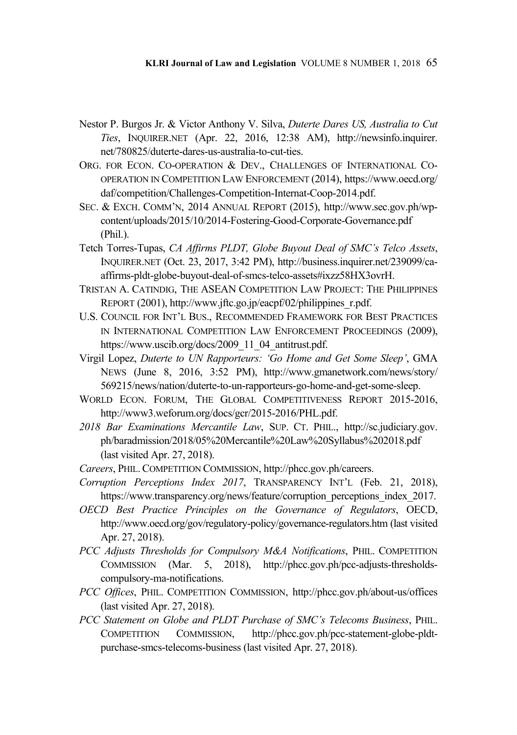- Nestor P. Burgos Jr. & Victor Anthony V. Silva, *Duterte Dares US, Australia to Cut Ties*, INQUIRER.NET (Apr. 22, 2016, 12:38 AM), http://newsinfo.inquirer. net/780825/duterte-dares-us-australia-to-cut-ties.
- ORG. FOR ECON. CO-OPERATION & DEV., CHALLENGES OF INTERNATIONAL CO-OPERATION IN COMPETITION LAW ENFORCEMENT (2014), https://www.oecd.org/ daf/competition/Challenges-Competition-Internat-Coop-2014.pdf.
- SEC. & EXCH. COMM'N, 2014 ANNUAL REPORT (2015), http://www.sec.gov.ph/wpcontent/uploads/2015/10/2014-Fostering-Good-Corporate-Governance.pdf (Phil.).
- Tetch Torres-Tupas, *CA Affirms PLDT, Globe Buyout Deal of SMC's Telco Assets*, INQUIRER.NET (Oct. 23, 2017, 3:42 PM), http://business.inquirer.net/239099/caaffirms-pldt-globe-buyout-deal-of-smcs-telco-assets#ixzz58HX3ovrH.
- TRISTAN A. CATINDIG, THE ASEAN COMPETITION LAW PROJECT: THE PHILIPPINES REPORT (2001), http://www.jftc.go.jp/eacpf/02/philippines\_r.pdf.
- U.S. COUNCIL FOR INT'L BUS., RECOMMENDED FRAMEWORK FOR BEST PRACTICES IN INTERNATIONAL COMPETITION LAW ENFORCEMENT PROCEEDINGS (2009), https://www.uscib.org/docs/2009\_11\_04\_antitrust.pdf.
- Virgil Lopez, *Duterte to UN Rapporteurs: 'Go Home and Get Some Sleep'*, GMA NEWS (June 8, 2016, 3:52 PM), http://www.gmanetwork.com/news/story/ 569215/news/nation/duterte-to-un-rapporteurs-go-home-and-get-some-sleep.
- WORLD ECON. FORUM, THE GLOBAL COMPETITIVENESS REPORT 2015-2016, http://www3.weforum.org/docs/gcr/2015-2016/PHL.pdf.
- *2018 Bar Examinations Mercantile Law*, SUP. CT. PHIL., http://sc.judiciary.gov. ph/baradmission/2018/05%20Mercantile%20Law%20Syllabus%202018.pdf (last visited Apr. 27, 2018).
- *Careers*, PHIL.COMPETITION COMMISSION, http://phcc.gov.ph/careers.
- *Corruption Perceptions Index 2017*, TRANSPARENCY INT'L (Feb. 21, 2018), https://www.transparency.org/news/feature/corruption perceptions index 2017.
- *OECD Best Practice Principles on the Governance of Regulators*, OECD, http://www.oecd.org/gov/regulatory-policy/governance-regulators.htm (last visited Apr. 27, 2018).
- *PCC Adjusts Thresholds for Compulsory M&A Notifications*, PHIL. COMPETITION COMMISSION (Mar. 5, 2018), http://phcc.gov.ph/pcc-adjusts-thresholdscompulsory-ma-notifications.
- *PCC Offices*, PHIL. COMPETITION COMMISSION, http://phcc.gov.ph/about-us/offices (last visited Apr. 27, 2018).
- *PCC Statement on Globe and PLDT Purchase of SMC's Telecoms Business*, PHIL. COMPETITION COMMISSION, http://phcc.gov.ph/pcc-statement-globe-pldtpurchase-smcs-telecoms-business (last visited Apr. 27, 2018).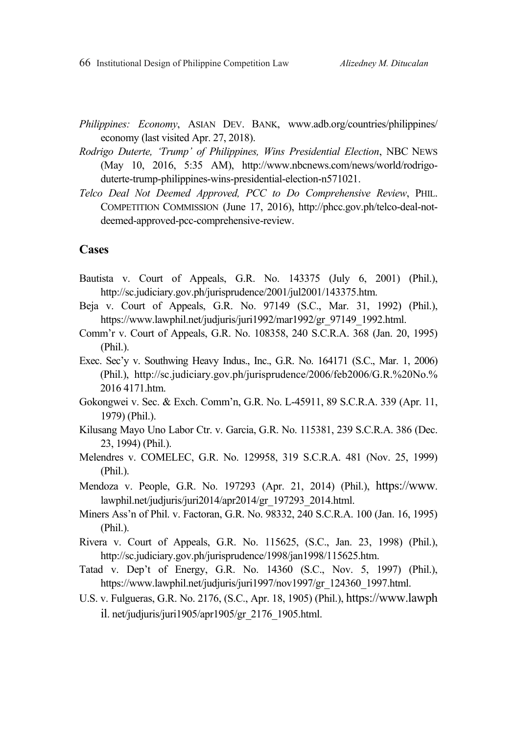66 Institutional Design of Philippine Competition Law *Alizedney M. Ditucalan* 

- *Philippines: Economy*, ASIAN DEV. BANK, www.adb.org/countries/philippines/ economy (last visited Apr. 27, 2018).
- *Rodrigo Duterte, 'Trump' of Philippines, Wins Presidential Election*, NBC NEWS (May 10, 2016, 5:35 AM), http://www.nbcnews.com/news/world/rodrigoduterte-trump-philippines-wins-presidential-election-n571021.
- *Telco Deal Not Deemed Approved, PCC to Do Comprehensive Review*, PHIL. COMPETITION COMMISSION (June 17, 2016), http://phcc.gov.ph/telco-deal-notdeemed-approved-pcc-comprehensive-review.

## **Cases**

- Bautista v. Court of Appeals, G.R. No. 143375 (July 6, 2001) (Phil.), http://sc.judiciary.gov.ph/jurisprudence/2001/jul2001/143375.htm.
- Beja v. Court of Appeals, G.R. No. 97149 (S.C., Mar. 31, 1992) (Phil.), https://www.lawphil.net/judjuris/juri1992/mar1992/gr\_97149\_1992.html.
- Comm'r v. Court of Appeals, G.R. No. 108358, 240 S.C.R.A. 368 (Jan. 20, 1995) (Phil.).
- Exec. Sec'y v. Southwing Heavy Indus., Inc., G.R. No. 164171 (S.C., Mar. 1, 2006) (Phil.), http://sc.judiciary.gov.ph/jurisprudence/2006/feb2006/G.R.%20No.% 2016 4171.htm.
- Gokongwei v. Sec. & Exch. Comm'n, G.R. No. L-45911, 89 S.C.R.A. 339 (Apr. 11, 1979) (Phil.).
- Kilusang Mayo Uno Labor Ctr. v. Garcia, G.R. No. 115381, 239 S.C.R.A. 386 (Dec. 23, 1994) (Phil.).
- Melendres v. COMELEC, G.R. No. 129958, 319 S.C.R.A. 481 (Nov. 25, 1999) (Phil.).
- Mendoza v. People, G.R. No. 197293 (Apr. 21, 2014) (Phil.), https://www. lawphil.net/judjuris/juri2014/apr2014/gr\_197293\_2014.html.
- Miners Ass'n of Phil. v. Factoran, G.R. No. 98332, 240 S.C.R.A. 100 (Jan. 16, 1995) (Phil.).
- Rivera v. Court of Appeals, G.R. No. 115625, (S.C., Jan. 23, 1998) (Phil.), http://sc.judiciary.gov.ph/jurisprudence/1998/jan1998/115625.htm.
- Tatad v. Dep't of Energy, G.R. No. 14360 (S.C., Nov. 5, 1997) (Phil.), https://www.lawphil.net/judjuris/juri1997/nov1997/gr\_124360\_1997.html.
- U.S. v. Fulgueras, G.R. No. 2176, (S.C., Apr. 18, 1905) (Phil.), https://www.lawph il. net/judjuris/juri1905/apr1905/gr\_2176\_1905.html.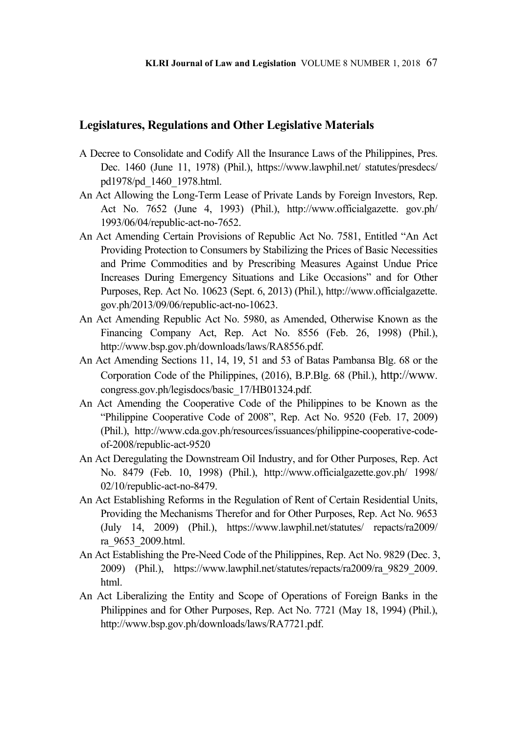# **Legislatures, Regulations and Other Legislative Materials**

- A Decree to Consolidate and Codify All the Insurance Laws of the Philippines, Pres. Dec. 1460 (June 11, 1978) (Phil.), https://www.lawphil.net/ statutes/presdecs/ pd1978/pd\_1460\_1978.html.
- An Act Allowing the Long-Term Lease of Private Lands by Foreign Investors, Rep. Act No. 7652 (June 4, 1993) (Phil.), http://www.officialgazette. gov.ph/ 1993/06/04/republic-act-no-7652.
- An Act Amending Certain Provisions of Republic Act No. 7581, Entitled "An Act Providing Protection to Consumers by Stabilizing the Prices of Basic Necessities and Prime Commodities and by Prescribing Measures Against Undue Price Increases During Emergency Situations and Like Occasions" and for Other Purposes, Rep. Act No. 10623 (Sept. 6, 2013) (Phil.), http://www.officialgazette. gov.ph/2013/09/06/republic-act-no-10623.
- An Act Amending Republic Act No. 5980, as Amended, Otherwise Known as the Financing Company Act, Rep. Act No. 8556 (Feb. 26, 1998) (Phil.), http://www.bsp.gov.ph/downloads/laws/RA8556.pdf.
- An Act Amending Sections 11, 14, 19, 51 and 53 of Batas Pambansa Blg. 68 or the Corporation Code of the Philippines, (2016), B.P.Blg. 68 (Phil.), http://www. congress.gov.ph/legisdocs/basic\_17/HB01324.pdf.
- An Act Amending the Cooperative Code of the Philippines to be Known as the "Philippine Cooperative Code of 2008", Rep. Act No. 9520 (Feb. 17, 2009) (Phil.), http://www.cda.gov.ph/resources/issuances/philippine-cooperative-codeof-2008/republic-act-9520
- An Act Deregulating the Downstream Oil Industry, and for Other Purposes, Rep. Act No. 8479 (Feb. 10, 1998) (Phil.), http://www.officialgazette.gov.ph/ 1998/ 02/10/republic-act-no-8479.
- An Act Establishing Reforms in the Regulation of Rent of Certain Residential Units, Providing the Mechanisms Therefor and for Other Purposes, Rep. Act No. 9653 (July 14, 2009) (Phil.), https://www.lawphil.net/statutes/ repacts/ra2009/ ra\_9653\_2009.html.
- An Act Establishing the Pre-Need Code of the Philippines, Rep. Act No. 9829 (Dec. 3, 2009) (Phil.), https://www.lawphil.net/statutes/repacts/ra2009/ra\_9829\_2009. html.
- An Act Liberalizing the Entity and Scope of Operations of Foreign Banks in the Philippines and for Other Purposes, Rep. Act No. 7721 (May 18, 1994) (Phil.), http://www.bsp.gov.ph/downloads/laws/RA7721.pdf.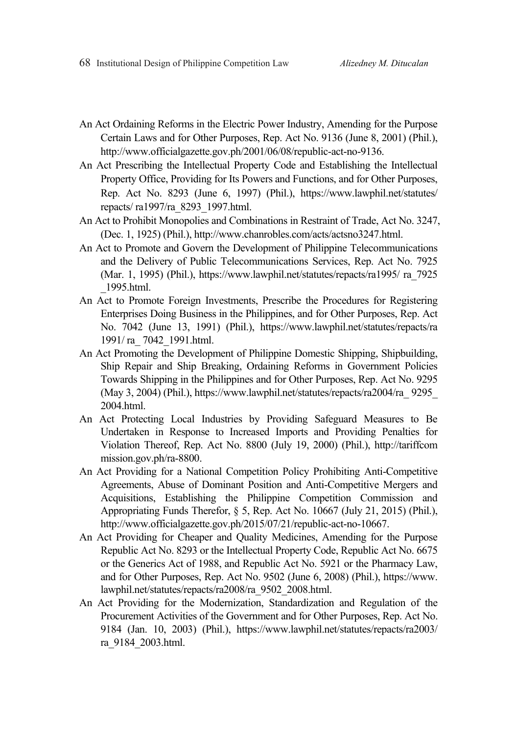- An Act Ordaining Reforms in the Electric Power Industry, Amending for the Purpose Certain Laws and for Other Purposes, Rep. Act No. 9136 (June 8, 2001) (Phil.), http://www.officialgazette.gov.ph/2001/06/08/republic-act-no-9136.
- An Act Prescribing the Intellectual Property Code and Establishing the Intellectual Property Office, Providing for Its Powers and Functions, and for Other Purposes, Rep. Act No. 8293 (June 6, 1997) (Phil.), https://www.lawphil.net/statutes/ repacts/ ra1997/ra\_8293\_1997.html.
- An Act to Prohibit Monopolies and Combinations in Restraint of Trade, Act No. 3247, (Dec. 1, 1925) (Phil.), http://www.chanrobles.com/acts/actsno3247.html.
- An Act to Promote and Govern the Development of Philippine Telecommunications and the Delivery of Public Telecommunications Services, Rep. Act No. 7925 (Mar. 1, 1995) (Phil.), https://www.lawphil.net/statutes/repacts/ra1995/ ra\_7925 \_1995.html.
- An Act to Promote Foreign Investments, Prescribe the Procedures for Registering Enterprises Doing Business in the Philippines, and for Other Purposes, Rep. Act No. 7042 (June 13, 1991) (Phil.), https://www.lawphil.net/statutes/repacts/ra 1991/ ra\_ 7042\_1991.html.
- An Act Promoting the Development of Philippine Domestic Shipping, Shipbuilding, Ship Repair and Ship Breaking, Ordaining Reforms in Government Policies Towards Shipping in the Philippines and for Other Purposes, Rep. Act No. 9295 (May 3, 2004) (Phil.), https://www.lawphil.net/statutes/repacts/ra2004/ra\_ 9295\_ 2004.html.
- An Act Protecting Local Industries by Providing Safeguard Measures to Be Undertaken in Response to Increased Imports and Providing Penalties for Violation Thereof, Rep. Act No. 8800 (July 19, 2000) (Phil.), http://tariffcom mission.gov.ph/ra-8800.
- An Act Providing for a National Competition Policy Prohibiting Anti-Competitive Agreements, Abuse of Dominant Position and Anti-Competitive Mergers and Acquisitions, Establishing the Philippine Competition Commission and Appropriating Funds Therefor, § 5, Rep. Act No. 10667 (July 21, 2015) (Phil.), http://www.officialgazette.gov.ph/2015/07/21/republic-act-no-10667.
- An Act Providing for Cheaper and Quality Medicines, Amending for the Purpose Republic Act No. 8293 or the Intellectual Property Code, Republic Act No. 6675 or the Generics Act of 1988, and Republic Act No. 5921 or the Pharmacy Law, and for Other Purposes, Rep. Act No. 9502 (June 6, 2008) (Phil.), https://www. lawphil.net/statutes/repacts/ra2008/ra\_9502\_2008.html.
- An Act Providing for the Modernization, Standardization and Regulation of the Procurement Activities of the Government and for Other Purposes, Rep. Act No. 9184 (Jan. 10, 2003) (Phil.), https://www.lawphil.net/statutes/repacts/ra2003/ ra\_9184\_2003.html.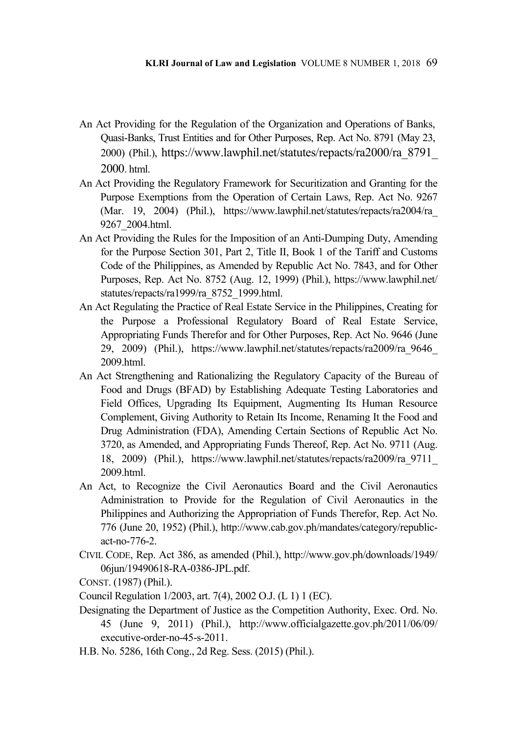- An Act Providing for the Regulation of the Organization and Operations of Banks, Quasi-Banks, Trust Entities and for Other Purposes, Rep. Act No. 8791 (May 23, 2000) (Phil.), https://www.lawphil.net/statutes/repacts/ra2000/ra\_8791\_ 2000. html.
- An Act Providing the Regulatory Framework for Securitization and Granting for the Purpose Exemptions from the Operation of Certain Laws, Rep. Act No. 9267 (Mar. 19, 2004) (Phil.), https://www.lawphil.net/statutes/repacts/ra2004/ra\_ 9267\_2004.html.
- An Act Providing the Rules for the Imposition of an Anti-Dumping Duty, Amending for the Purpose Section 301, Part 2, Title II, Book 1 of the Tariff and Customs Code of the Philippines, as Amended by Republic Act No. 7843, and for Other Purposes, Rep. Act No. 8752 (Aug. 12, 1999) (Phil.), https://www.lawphil.net/ statutes/repacts/ra1999/ra\_8752\_1999.html.
- An Act Regulating the Practice of Real Estate Service in the Philippines, Creating for the Purpose a Professional Regulatory Board of Real Estate Service, Appropriating Funds Therefor and for Other Purposes, Rep. Act No. 9646 (June 29, 2009) (Phil.), https://www.lawphil.net/statutes/repacts/ra2009/ra\_9646\_ 2009.html.
- An Act Strengthening and Rationalizing the Regulatory Capacity of the Bureau of Food and Drugs (BFAD) by Establishing Adequate Testing Laboratories and Field Offices, Upgrading Its Equipment, Augmenting Its Human Resource Complement, Giving Authority to Retain Its Income, Renaming It the Food and Drug Administration (FDA), Amending Certain Sections of Republic Act No. 3720, as Amended, and Appropriating Funds Thereof, Rep. Act No. 9711 (Aug. 18, 2009) (Phil.), https://www.lawphil.net/statutes/repacts/ra2009/ra\_9711\_ 2009.html.
- An Act, to Recognize the Civil Aeronautics Board and the Civil Aeronautics Administration to Provide for the Regulation of Civil Aeronautics in the Philippines and Authorizing the Appropriation of Funds Therefor, Rep. Act No. 776 (June 20, 1952) (Phil.), http://www.cab.gov.ph/mandates/category/republicact-no-776-2.
- CIVIL CODE, Rep. Act 386, as amended (Phil.), http://www.gov.ph/downloads/1949/ 06jun/19490618-RA-0386-JPL.pdf.
- CONST. (1987) (Phil.).
- Council Regulation 1/2003, art. 7(4), 2002 O.J. (L 1) 1 (EC).
- Designating the Department of Justice as the Competition Authority, Exec. Ord. No. 45 (June 9, 2011) (Phil.), http://www.officialgazette.gov.ph/2011/06/09/ executive-order-no-45-s-2011.
- H.B. No. 5286, 16th Cong., 2d Reg. Sess. (2015) (Phil.).